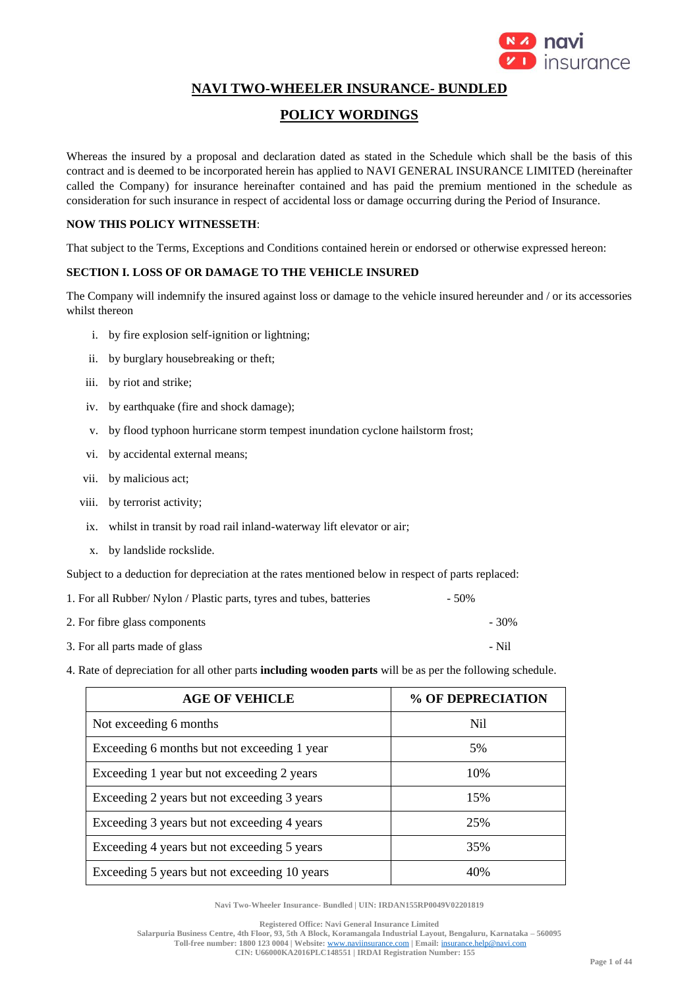

# **NAVI TWO-WHEELER INSURANCE- BUNDLED**

# **POLICY WORDINGS**

Whereas the insured by a proposal and declaration dated as stated in the Schedule which shall be the basis of this contract and is deemed to be incorporated herein has applied to NAVI GENERAL INSURANCE LIMITED (hereinafter called the Company) for insurance hereinafter contained and has paid the premium mentioned in the schedule as consideration for such insurance in respect of accidental loss or damage occurring during the Period of Insurance.

### **NOW THIS POLICY WITNESSETH**:

That subject to the Terms, Exceptions and Conditions contained herein or endorsed or otherwise expressed hereon:

## **SECTION I. LOSS OF OR DAMAGE TO THE VEHICLE INSURED**

The Company will indemnify the insured against loss or damage to the vehicle insured hereunder and / or its accessories whilst thereon

- i. by fire explosion self-ignition or lightning;
- ii. by burglary housebreaking or theft;
- iii. by riot and strike;
- iv. by earthquake (fire and shock damage);
- v. by flood typhoon hurricane storm tempest inundation cyclone hailstorm frost;
- vi. by accidental external means;
- vii. by malicious act;
- viii. by terrorist activity;
- ix. whilst in transit by road rail inland-waterway lift elevator or air;
- x. by landslide rockslide.

Subject to a deduction for depreciation at the rates mentioned below in respect of parts replaced:

| 1. For all Rubber/ Nylon / Plastic parts, tyres and tubes, batteries | $-50\%$ |
|----------------------------------------------------------------------|---------|
| 2. For fibre glass components                                        | $-30\%$ |
| 3. For all parts made of glass                                       | - Nil   |

4. Rate of depreciation for all other parts **including wooden parts** will be as per the following schedule.

| <b>AGE OF VEHICLE</b>                        | % OF DEPRECIATION |
|----------------------------------------------|-------------------|
| Not exceeding 6 months                       | Nil.              |
| Exceeding 6 months but not exceeding 1 year  | 5%                |
| Exceeding 1 year but not exceeding 2 years   | 10%               |
| Exceeding 2 years but not exceeding 3 years  | 15%               |
| Exceeding 3 years but not exceeding 4 years  | 25%               |
| Exceeding 4 years but not exceeding 5 years  | 35%               |
| Exceeding 5 years but not exceeding 10 years | 40%               |

**Navi Two-Wheeler Insurance- Bundled | UIN: IRDAN155RP0049V02201819**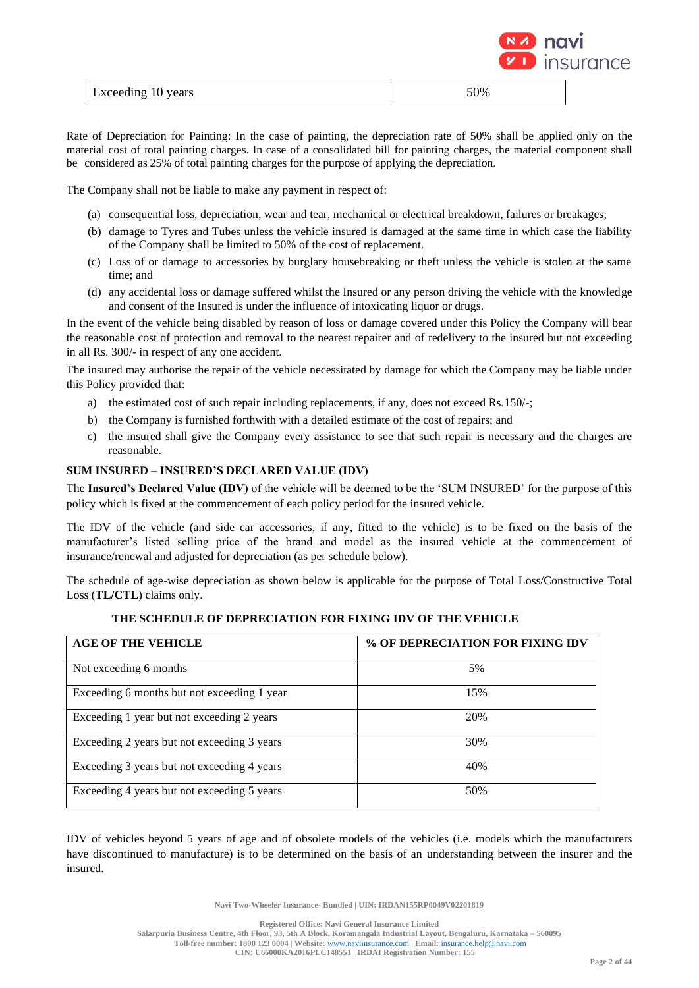

| Exceeding 10 years | 50% |
|--------------------|-----|

Rate of Depreciation for Painting: In the case of painting, the depreciation rate of 50% shall be applied only on the material cost of total painting charges. In case of a consolidated bill for painting charges, the material component shall be considered as 25% of total painting charges for the purpose of applying the depreciation.

The Company shall not be liable to make any payment in respect of:

- (a) consequential loss, depreciation, wear and tear, mechanical or electrical breakdown, failures or breakages;
- (b) damage to Tyres and Tubes unless the vehicle insured is damaged at the same time in which case the liability of the Company shall be limited to 50% of the cost of replacement.
- (c) Loss of or damage to accessories by burglary housebreaking or theft unless the vehicle is stolen at the same time; and
- (d) any accidental loss or damage suffered whilst the Insured or any person driving the vehicle with the knowledge and consent of the Insured is under the influence of intoxicating liquor or drugs.

In the event of the vehicle being disabled by reason of loss or damage covered under this Policy the Company will bear the reasonable cost of protection and removal to the nearest repairer and of redelivery to the insured but not exceeding in all Rs. 300/- in respect of any one accident.

The insured may authorise the repair of the vehicle necessitated by damage for which the Company may be liable under this Policy provided that:

- a) the estimated cost of such repair including replacements, if any, does not exceed Rs.150/-;
- b) the Company is furnished forthwith with a detailed estimate of the cost of repairs; and
- c) the insured shall give the Company every assistance to see that such repair is necessary and the charges are reasonable.

## **SUM INSURED – INSURED'S DECLARED VALUE (IDV)**

The **Insured's Declared Value (IDV)** of the vehicle will be deemed to be the 'SUM INSURED' for the purpose of this policy which is fixed at the commencement of each policy period for the insured vehicle.

The IDV of the vehicle (and side car accessories, if any, fitted to the vehicle) is to be fixed on the basis of the manufacturer's listed selling price of the brand and model as the insured vehicle at the commencement of insurance/renewal and adjusted for depreciation (as per schedule below).

The schedule of age-wise depreciation as shown below is applicable for the purpose of Total Loss/Constructive Total Loss (**TL/CTL**) claims only.

## **THE SCHEDULE OF DEPRECIATION FOR FIXING IDV OF THE VEHICLE**

| <b>AGE OF THE VEHICLE</b>                   | % OF DEPRECIATION FOR FIXING IDV |
|---------------------------------------------|----------------------------------|
| Not exceeding 6 months                      | 5%                               |
| Exceeding 6 months but not exceeding 1 year | 15%                              |
| Exceeding 1 year but not exceeding 2 years  | 20%                              |
| Exceeding 2 years but not exceeding 3 years | 30%                              |
| Exceeding 3 years but not exceeding 4 years | 40%                              |
| Exceeding 4 years but not exceeding 5 years | 50%                              |

IDV of vehicles beyond 5 years of age and of obsolete models of the vehicles (i.e. models which the manufacturers have discontinued to manufacture) is to be determined on the basis of an understanding between the insurer and the insured.

**Navi Two-Wheeler Insurance- Bundled | UIN: IRDAN155RP0049V02201819**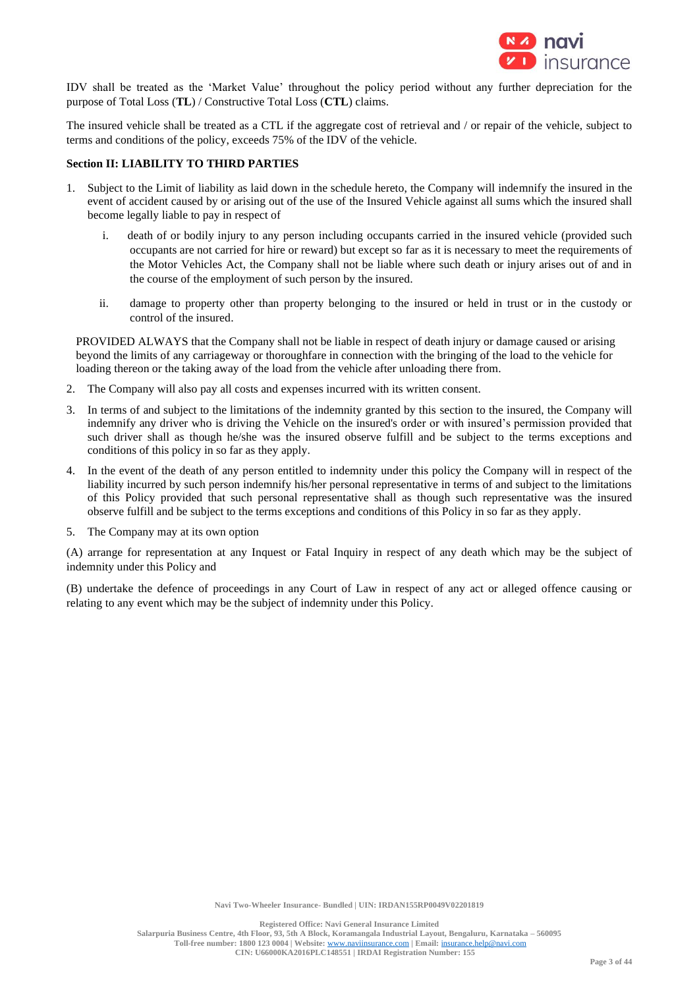

IDV shall be treated as the 'Market Value' throughout the policy period without any further depreciation for the purpose of Total Loss (**TL**) / Constructive Total Loss (**CTL**) claims.

The insured vehicle shall be treated as a CTL if the aggregate cost of retrieval and / or repair of the vehicle, subject to terms and conditions of the policy, exceeds 75% of the IDV of the vehicle.

## **Section II: LIABILITY TO THIRD PARTIES**

- 1. Subject to the Limit of liability as laid down in the schedule hereto, the Company will indemnify the insured in the event of accident caused by or arising out of the use of the Insured Vehicle against all sums which the insured shall become legally liable to pay in respect of
	- i. death of or bodily injury to any person including occupants carried in the insured vehicle (provided such occupants are not carried for hire or reward) but except so far as it is necessary to meet the requirements of the Motor Vehicles Act, the Company shall not be liable where such death or injury arises out of and in the course of the employment of such person by the insured.
	- ii. damage to property other than property belonging to the insured or held in trust or in the custody or control of the insured.

PROVIDED ALWAYS that the Company shall not be liable in respect of death injury or damage caused or arising beyond the limits of any carriageway or thoroughfare in connection with the bringing of the load to the vehicle for loading thereon or the taking away of the load from the vehicle after unloading there from.

- 2. The Company will also pay all costs and expenses incurred with its written consent.
- 3. In terms of and subject to the limitations of the indemnity granted by this section to the insured, the Company will indemnify any driver who is driving the Vehicle on the insured's order or with insured's permission provided that such driver shall as though he/she was the insured observe fulfill and be subject to the terms exceptions and conditions of this policy in so far as they apply.
- 4. In the event of the death of any person entitled to indemnity under this policy the Company will in respect of the liability incurred by such person indemnify his/her personal representative in terms of and subject to the limitations of this Policy provided that such personal representative shall as though such representative was the insured observe fulfill and be subject to the terms exceptions and conditions of this Policy in so far as they apply.
- 5. The Company may at its own option

(A) arrange for representation at any Inquest or Fatal Inquiry in respect of any death which may be the subject of indemnity under this Policy and

(B) undertake the defence of proceedings in any Court of Law in respect of any act or alleged offence causing or relating to any event which may be the subject of indemnity under this Policy.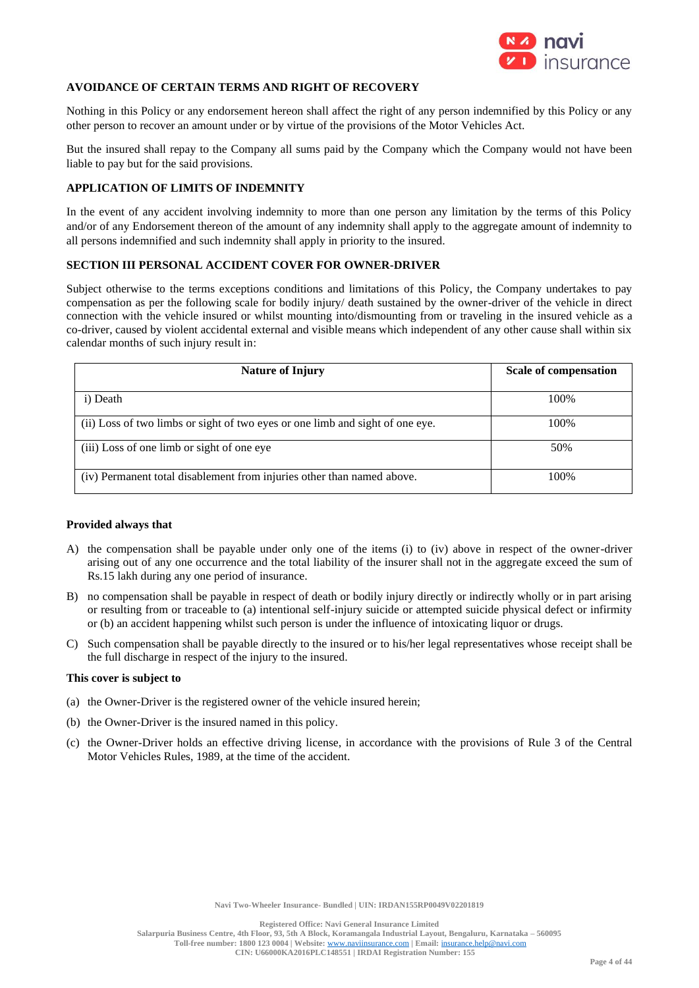

## **AVOIDANCE OF CERTAIN TERMS AND RIGHT OF RECOVERY**

Nothing in this Policy or any endorsement hereon shall affect the right of any person indemnified by this Policy or any other person to recover an amount under or by virtue of the provisions of the Motor Vehicles Act.

But the insured shall repay to the Company all sums paid by the Company which the Company would not have been liable to pay but for the said provisions.

## **APPLICATION OF LIMITS OF INDEMNITY**

In the event of any accident involving indemnity to more than one person any limitation by the terms of this Policy and/or of any Endorsement thereon of the amount of any indemnity shall apply to the aggregate amount of indemnity to all persons indemnified and such indemnity shall apply in priority to the insured.

## **SECTION III PERSONAL ACCIDENT COVER FOR OWNER-DRIVER**

Subject otherwise to the terms exceptions conditions and limitations of this Policy, the Company undertakes to pay compensation as per the following scale for bodily injury/ death sustained by the owner-driver of the vehicle in direct connection with the vehicle insured or whilst mounting into/dismounting from or traveling in the insured vehicle as a co-driver, caused by violent accidental external and visible means which independent of any other cause shall within six calendar months of such injury result in:

| <b>Nature of Injury</b>                                                       | <b>Scale of compensation</b> |
|-------------------------------------------------------------------------------|------------------------------|
| i) Death                                                                      | 100%                         |
| (ii) Loss of two limbs or sight of two eyes or one limb and sight of one eye. | 100%                         |
| (iii) Loss of one limb or sight of one eye                                    | 50%                          |
| (iv) Permanent total disablement from injuries other than named above.        | 100\%                        |

#### **Provided always that**

- A) the compensation shall be payable under only one of the items (i) to (iv) above in respect of the owner-driver arising out of any one occurrence and the total liability of the insurer shall not in the aggregate exceed the sum of Rs.15 lakh during any one period of insurance.
- B) no compensation shall be payable in respect of death or bodily injury directly or indirectly wholly or in part arising or resulting from or traceable to (a) intentional self-injury suicide or attempted suicide physical defect or infirmity or (b) an accident happening whilst such person is under the influence of intoxicating liquor or drugs.
- C) Such compensation shall be payable directly to the insured or to his/her legal representatives whose receipt shall be the full discharge in respect of the injury to the insured.

#### **This cover is subject to**

- (a) the Owner-Driver is the registered owner of the vehicle insured herein;
- (b) the Owner-Driver is the insured named in this policy.
- (c) the Owner-Driver holds an effective driving license, in accordance with the provisions of Rule 3 of the Central Motor Vehicles Rules, 1989, at the time of the accident.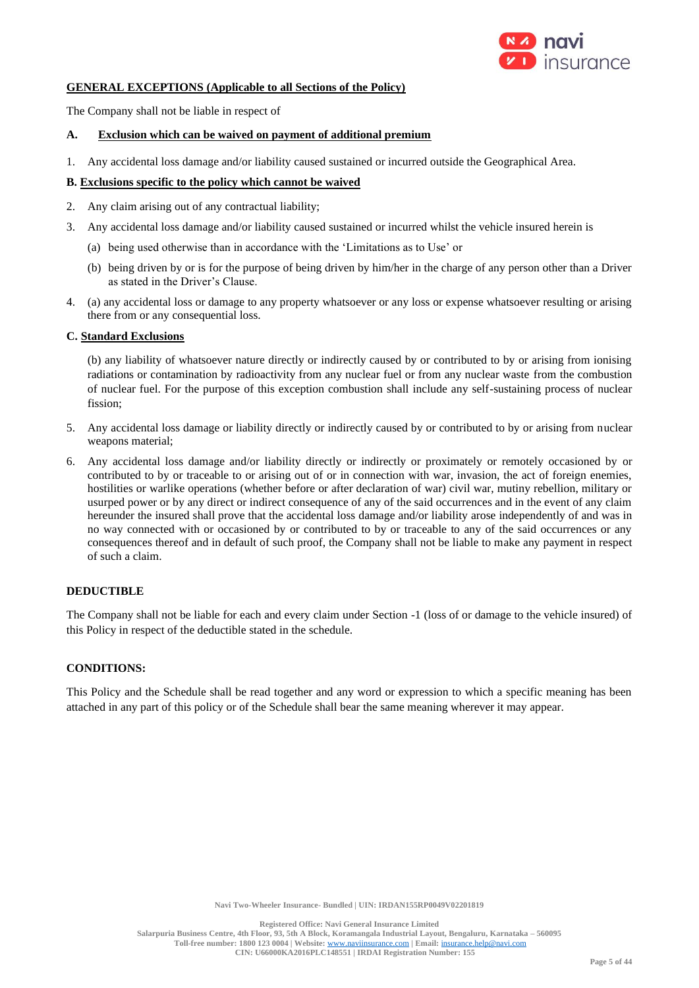

## **GENERAL EXCEPTIONS (Applicable to all Sections of the Policy)**

The Company shall not be liable in respect of

### **A. Exclusion which can be waived on payment of additional premium**

1. Any accidental loss damage and/or liability caused sustained or incurred outside the Geographical Area.

### **B. Exclusions specific to the policy which cannot be waived**

- 2. Any claim arising out of any contractual liability;
- 3. Any accidental loss damage and/or liability caused sustained or incurred whilst the vehicle insured herein is
	- (a) being used otherwise than in accordance with the 'Limitations as to Use' or
	- (b) being driven by or is for the purpose of being driven by him/her in the charge of any person other than a Driver as stated in the Driver's Clause.
- 4. (a) any accidental loss or damage to any property whatsoever or any loss or expense whatsoever resulting or arising there from or any consequential loss.

## **C. Standard Exclusions**

(b) any liability of whatsoever nature directly or indirectly caused by or contributed to by or arising from ionising radiations or contamination by radioactivity from any nuclear fuel or from any nuclear waste from the combustion of nuclear fuel. For the purpose of this exception combustion shall include any self-sustaining process of nuclear fission;

- 5. Any accidental loss damage or liability directly or indirectly caused by or contributed to by or arising from nuclear weapons material;
- 6. Any accidental loss damage and/or liability directly or indirectly or proximately or remotely occasioned by or contributed to by or traceable to or arising out of or in connection with war, invasion, the act of foreign enemies, hostilities or warlike operations (whether before or after declaration of war) civil war, mutiny rebellion, military or usurped power or by any direct or indirect consequence of any of the said occurrences and in the event of any claim hereunder the insured shall prove that the accidental loss damage and/or liability arose independently of and was in no way connected with or occasioned by or contributed to by or traceable to any of the said occurrences or any consequences thereof and in default of such proof, the Company shall not be liable to make any payment in respect of such a claim.

## **DEDUCTIBLE**

The Company shall not be liable for each and every claim under Section -1 (loss of or damage to the vehicle insured) of this Policy in respect of the deductible stated in the schedule.

### **CONDITIONS:**

This Policy and the Schedule shall be read together and any word or expression to which a specific meaning has been attached in any part of this policy or of the Schedule shall bear the same meaning wherever it may appear.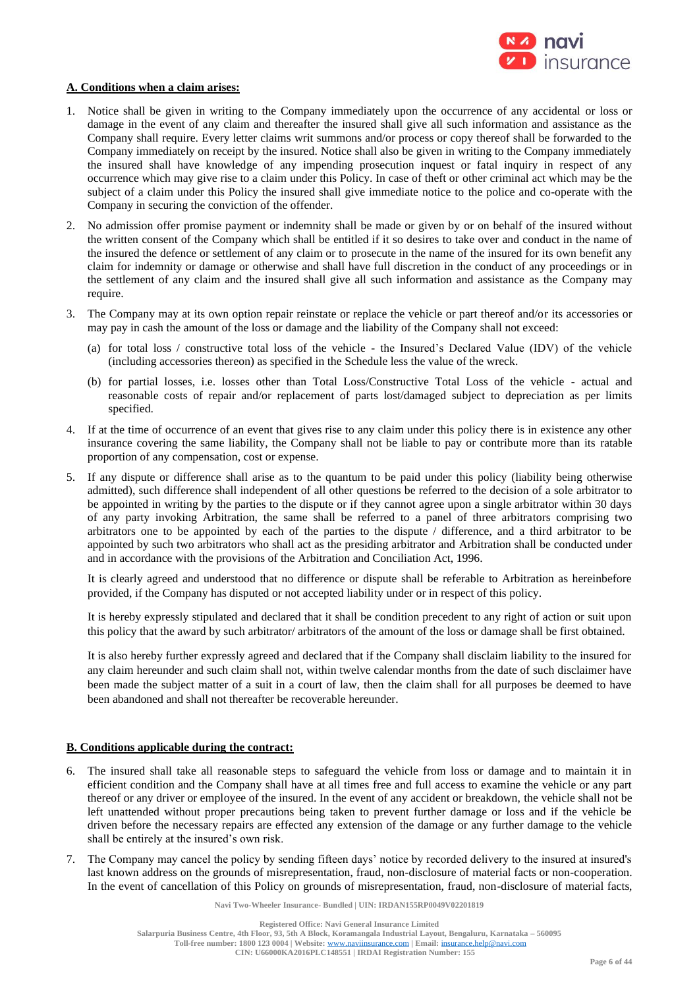

## **A. Conditions when a claim arises:**

- 1. Notice shall be given in writing to the Company immediately upon the occurrence of any accidental or loss or damage in the event of any claim and thereafter the insured shall give all such information and assistance as the Company shall require. Every letter claims writ summons and/or process or copy thereof shall be forwarded to the Company immediately on receipt by the insured. Notice shall also be given in writing to the Company immediately the insured shall have knowledge of any impending prosecution inquest or fatal inquiry in respect of any occurrence which may give rise to a claim under this Policy. In case of theft or other criminal act which may be the subject of a claim under this Policy the insured shall give immediate notice to the police and co-operate with the Company in securing the conviction of the offender.
- 2. No admission offer promise payment or indemnity shall be made or given by or on behalf of the insured without the written consent of the Company which shall be entitled if it so desires to take over and conduct in the name of the insured the defence or settlement of any claim or to prosecute in the name of the insured for its own benefit any claim for indemnity or damage or otherwise and shall have full discretion in the conduct of any proceedings or in the settlement of any claim and the insured shall give all such information and assistance as the Company may require.
- 3. The Company may at its own option repair reinstate or replace the vehicle or part thereof and/or its accessories or may pay in cash the amount of the loss or damage and the liability of the Company shall not exceed:
	- (a) for total loss / constructive total loss of the vehicle the Insured's Declared Value (IDV) of the vehicle (including accessories thereon) as specified in the Schedule less the value of the wreck.
	- (b) for partial losses, i.e. losses other than Total Loss/Constructive Total Loss of the vehicle actual and reasonable costs of repair and/or replacement of parts lost/damaged subject to depreciation as per limits specified.
- 4. If at the time of occurrence of an event that gives rise to any claim under this policy there is in existence any other insurance covering the same liability, the Company shall not be liable to pay or contribute more than its ratable proportion of any compensation, cost or expense.
- 5. If any dispute or difference shall arise as to the quantum to be paid under this policy (liability being otherwise admitted), such difference shall independent of all other questions be referred to the decision of a sole arbitrator to be appointed in writing by the parties to the dispute or if they cannot agree upon a single arbitrator within 30 days of any party invoking Arbitration, the same shall be referred to a panel of three arbitrators comprising two arbitrators one to be appointed by each of the parties to the dispute / difference, and a third arbitrator to be appointed by such two arbitrators who shall act as the presiding arbitrator and Arbitration shall be conducted under and in accordance with the provisions of the Arbitration and Conciliation Act, 1996.

It is clearly agreed and understood that no difference or dispute shall be referable to Arbitration as hereinbefore provided, if the Company has disputed or not accepted liability under or in respect of this policy.

It is hereby expressly stipulated and declared that it shall be condition precedent to any right of action or suit upon this policy that the award by such arbitrator/ arbitrators of the amount of the loss or damage shall be first obtained.

It is also hereby further expressly agreed and declared that if the Company shall disclaim liability to the insured for any claim hereunder and such claim shall not, within twelve calendar months from the date of such disclaimer have been made the subject matter of a suit in a court of law, then the claim shall for all purposes be deemed to have been abandoned and shall not thereafter be recoverable hereunder.

#### **B. Conditions applicable during the contract:**

- 6. The insured shall take all reasonable steps to safeguard the vehicle from loss or damage and to maintain it in efficient condition and the Company shall have at all times free and full access to examine the vehicle or any part thereof or any driver or employee of the insured. In the event of any accident or breakdown, the vehicle shall not be left unattended without proper precautions being taken to prevent further damage or loss and if the vehicle be driven before the necessary repairs are effected any extension of the damage or any further damage to the vehicle shall be entirely at the insured's own risk.
- 7. The Company may cancel the policy by sending fifteen days' notice by recorded delivery to the insured at insured's last known address on the grounds of misrepresentation, fraud, non-disclosure of material facts or non-cooperation. In the event of cancellation of this Policy on grounds of misrepresentation, fraud, non-disclosure of material facts,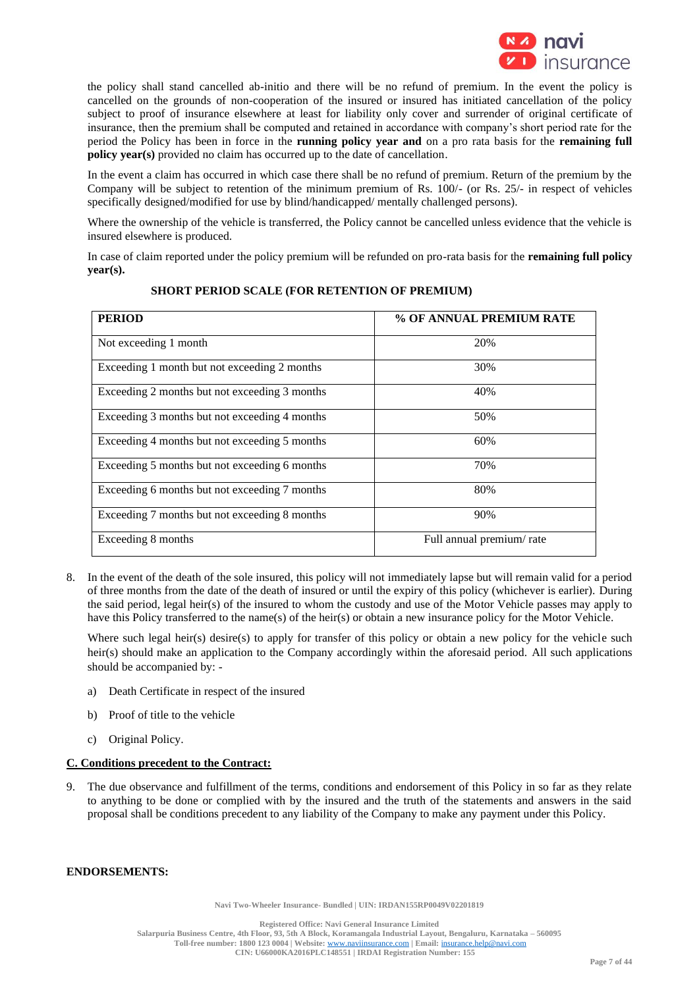

the policy shall stand cancelled ab-initio and there will be no refund of premium. In the event the policy is cancelled on the grounds of non-cooperation of the insured or insured has initiated cancellation of the policy subject to proof of insurance elsewhere at least for liability only cover and surrender of original certificate of insurance, then the premium shall be computed and retained in accordance with company's short period rate for the period the Policy has been in force in the **running policy year and** on a pro rata basis for the **remaining full policy year(s)** provided no claim has occurred up to the date of cancellation.

In the event a claim has occurred in which case there shall be no refund of premium. Return of the premium by the Company will be subject to retention of the minimum premium of Rs. 100/- (or Rs. 25/- in respect of vehicles specifically designed/modified for use by blind/handicapped/ mentally challenged persons).

Where the ownership of the vehicle is transferred, the Policy cannot be cancelled unless evidence that the vehicle is insured elsewhere is produced.

In case of claim reported under the policy premium will be refunded on pro-rata basis for the **remaining full policy year(s).**

| <b>PERIOD</b>                                 | % OF ANNUAL PREMIUM RATE |
|-----------------------------------------------|--------------------------|
| Not exceeding 1 month                         | 20%                      |
| Exceeding 1 month but not exceeding 2 months  | 30%                      |
| Exceeding 2 months but not exceeding 3 months | 40%                      |
| Exceeding 3 months but not exceeding 4 months | 50%                      |
| Exceeding 4 months but not exceeding 5 months | 60%                      |
| Exceeding 5 months but not exceeding 6 months | 70%                      |
| Exceeding 6 months but not exceeding 7 months | 80%                      |
| Exceeding 7 months but not exceeding 8 months | 90%                      |
| Exceeding 8 months                            | Full annual premium/rate |

## **SHORT PERIOD SCALE (FOR RETENTION OF PREMIUM)**

8. In the event of the death of the sole insured, this policy will not immediately lapse but will remain valid for a period of three months from the date of the death of insured or until the expiry of this policy (whichever is earlier). During the said period, legal heir(s) of the insured to whom the custody and use of the Motor Vehicle passes may apply to have this Policy transferred to the name(s) of the heir(s) or obtain a new insurance policy for the Motor Vehicle.

Where such legal heir(s) desire(s) to apply for transfer of this policy or obtain a new policy for the vehicle such heir(s) should make an application to the Company accordingly within the aforesaid period. All such applications should be accompanied by: -

- a) Death Certificate in respect of the insured
- b) Proof of title to the vehicle
- c) Original Policy.

## **C. Conditions precedent to the Contract:**

9. The due observance and fulfillment of the terms, conditions and endorsement of this Policy in so far as they relate to anything to be done or complied with by the insured and the truth of the statements and answers in the said proposal shall be conditions precedent to any liability of the Company to make any payment under this Policy.

#### **ENDORSEMENTS:**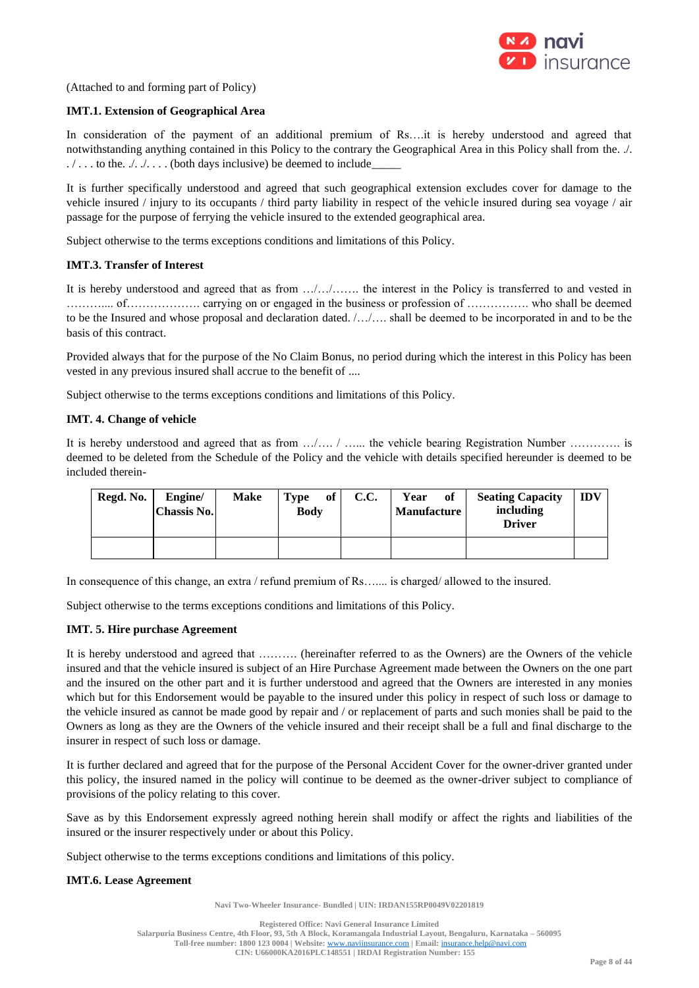

(Attached to and forming part of Policy)

## **IMT.1. Extension of Geographical Area**

In consideration of the payment of an additional premium of Rs....it is hereby understood and agreed that notwithstanding anything contained in this Policy to the contrary the Geographical Area in this Policy shall from the. ./.  $\ldots$  to the  $\ldots$  ... . (both days inclusive) be deemed to include

It is further specifically understood and agreed that such geographical extension excludes cover for damage to the vehicle insured / injury to its occupants / third party liability in respect of the vehicle insured during sea voyage / air passage for the purpose of ferrying the vehicle insured to the extended geographical area.

Subject otherwise to the terms exceptions conditions and limitations of this Policy.

## **IMT.3. Transfer of Interest**

It is hereby understood and agreed that as from …/…/……. the interest in the Policy is transferred to and vested in ……….... of………………. carrying on or engaged in the business or profession of ……………. who shall be deemed to be the Insured and whose proposal and declaration dated. /…/…. shall be deemed to be incorporated in and to be the basis of this contract.

Provided always that for the purpose of the No Claim Bonus, no period during which the interest in this Policy has been vested in any previous insured shall accrue to the benefit of ....

Subject otherwise to the terms exceptions conditions and limitations of this Policy.

### **IMT. 4. Change of vehicle**

It is hereby understood and agreed that as from …/…. / …... the vehicle bearing Registration Number …………. is deemed to be deleted from the Schedule of the Policy and the vehicle with details specified hereunder is deemed to be included therein-

| Regd. No. | Engine/<br>  Chassis No. | <b>Make</b> | of<br>Type<br><b>Body</b> | <b>C.C.</b> | Year<br>of<br><b>Manufacture</b> | <b>Seating Capacity</b><br>including<br><b>Driver</b> | <b>IDV</b> |
|-----------|--------------------------|-------------|---------------------------|-------------|----------------------------------|-------------------------------------------------------|------------|
|           |                          |             |                           |             |                                  |                                                       |            |

In consequence of this change, an extra / refund premium of Rs….... is charged/ allowed to the insured.

Subject otherwise to the terms exceptions conditions and limitations of this Policy.

## **IMT. 5. Hire purchase Agreement**

It is hereby understood and agreed that ………. (hereinafter referred to as the Owners) are the Owners of the vehicle insured and that the vehicle insured is subject of an Hire Purchase Agreement made between the Owners on the one part and the insured on the other part and it is further understood and agreed that the Owners are interested in any monies which but for this Endorsement would be payable to the insured under this policy in respect of such loss or damage to the vehicle insured as cannot be made good by repair and / or replacement of parts and such monies shall be paid to the Owners as long as they are the Owners of the vehicle insured and their receipt shall be a full and final discharge to the insurer in respect of such loss or damage.

It is further declared and agreed that for the purpose of the Personal Accident Cover for the owner-driver granted under this policy, the insured named in the policy will continue to be deemed as the owner-driver subject to compliance of provisions of the policy relating to this cover.

Save as by this Endorsement expressly agreed nothing herein shall modify or affect the rights and liabilities of the insured or the insurer respectively under or about this Policy.

Subject otherwise to the terms exceptions conditions and limitations of this policy.

## **IMT.6. Lease Agreement**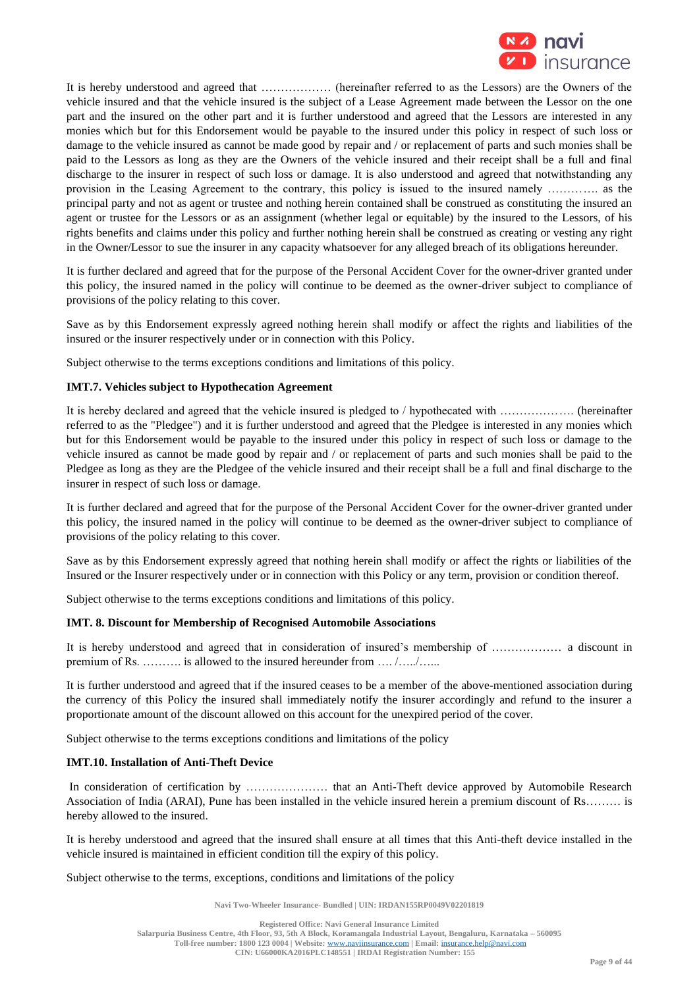

It is hereby understood and agreed that ……………… (hereinafter referred to as the Lessors) are the Owners of the vehicle insured and that the vehicle insured is the subject of a Lease Agreement made between the Lessor on the one part and the insured on the other part and it is further understood and agreed that the Lessors are interested in any monies which but for this Endorsement would be payable to the insured under this policy in respect of such loss or damage to the vehicle insured as cannot be made good by repair and / or replacement of parts and such monies shall be paid to the Lessors as long as they are the Owners of the vehicle insured and their receipt shall be a full and final discharge to the insurer in respect of such loss or damage. It is also understood and agreed that notwithstanding any provision in the Leasing Agreement to the contrary, this policy is issued to the insured namely …………. as the principal party and not as agent or trustee and nothing herein contained shall be construed as constituting the insured an agent or trustee for the Lessors or as an assignment (whether legal or equitable) by the insured to the Lessors, of his rights benefits and claims under this policy and further nothing herein shall be construed as creating or vesting any right in the Owner/Lessor to sue the insurer in any capacity whatsoever for any alleged breach of its obligations hereunder.

It is further declared and agreed that for the purpose of the Personal Accident Cover for the owner-driver granted under this policy, the insured named in the policy will continue to be deemed as the owner-driver subject to compliance of provisions of the policy relating to this cover.

Save as by this Endorsement expressly agreed nothing herein shall modify or affect the rights and liabilities of the insured or the insurer respectively under or in connection with this Policy.

Subject otherwise to the terms exceptions conditions and limitations of this policy.

## **IMT.7. Vehicles subject to Hypothecation Agreement**

It is hereby declared and agreed that the vehicle insured is pledged to / hypothecated with ………………. (hereinafter referred to as the "Pledgee") and it is further understood and agreed that the Pledgee is interested in any monies which but for this Endorsement would be payable to the insured under this policy in respect of such loss or damage to the vehicle insured as cannot be made good by repair and / or replacement of parts and such monies shall be paid to the Pledgee as long as they are the Pledgee of the vehicle insured and their receipt shall be a full and final discharge to the insurer in respect of such loss or damage.

It is further declared and agreed that for the purpose of the Personal Accident Cover for the owner-driver granted under this policy, the insured named in the policy will continue to be deemed as the owner-driver subject to compliance of provisions of the policy relating to this cover.

Save as by this Endorsement expressly agreed that nothing herein shall modify or affect the rights or liabilities of the Insured or the Insurer respectively under or in connection with this Policy or any term, provision or condition thereof.

Subject otherwise to the terms exceptions conditions and limitations of this policy.

## **IMT. 8. Discount for Membership of Recognised Automobile Associations**

It is hereby understood and agreed that in consideration of insured's membership of ……………… a discount in premium of Rs. ………. is allowed to the insured hereunder from …. /…../…...

It is further understood and agreed that if the insured ceases to be a member of the above-mentioned association during the currency of this Policy the insured shall immediately notify the insurer accordingly and refund to the insurer a proportionate amount of the discount allowed on this account for the unexpired period of the cover.

Subject otherwise to the terms exceptions conditions and limitations of the policy

## **IMT.10. Installation of Anti-Theft Device**

In consideration of certification by ………………… that an Anti-Theft device approved by Automobile Research Association of India (ARAI), Pune has been installed in the vehicle insured herein a premium discount of Rs……… is hereby allowed to the insured.

It is hereby understood and agreed that the insured shall ensure at all times that this Anti-theft device installed in the vehicle insured is maintained in efficient condition till the expiry of this policy.

#### Subject otherwise to the terms, exceptions, conditions and limitations of the policy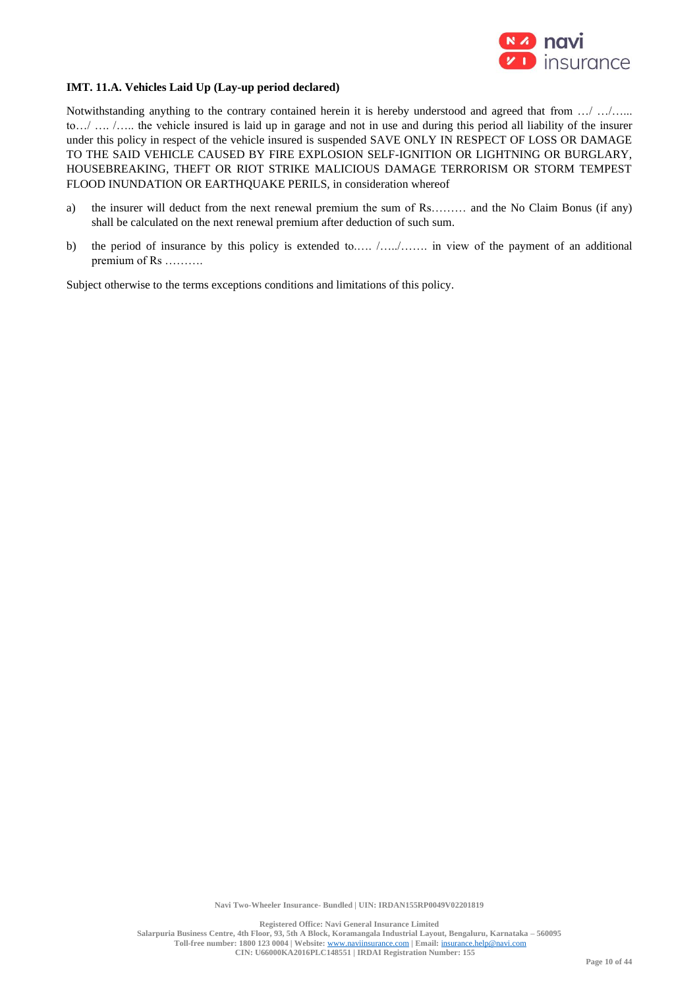

## **IMT. 11.A. Vehicles Laid Up (Lay-up period declared)**

Notwithstanding anything to the contrary contained herein it is hereby understood and agreed that from …/ …/…... to…/ …. /….. the vehicle insured is laid up in garage and not in use and during this period all liability of the insurer under this policy in respect of the vehicle insured is suspended SAVE ONLY IN RESPECT OF LOSS OR DAMAGE TO THE SAID VEHICLE CAUSED BY FIRE EXPLOSION SELF-IGNITION OR LIGHTNING OR BURGLARY, HOUSEBREAKING, THEFT OR RIOT STRIKE MALICIOUS DAMAGE TERRORISM OR STORM TEMPEST FLOOD INUNDATION OR EARTHQUAKE PERILS, in consideration whereof

- a) the insurer will deduct from the next renewal premium the sum of Rs……… and the No Claim Bonus (if any) shall be calculated on the next renewal premium after deduction of such sum.
- b) the period of insurance by this policy is extended to..... /….......... in view of the payment of an additional premium of Rs ……….

Subject otherwise to the terms exceptions conditions and limitations of this policy.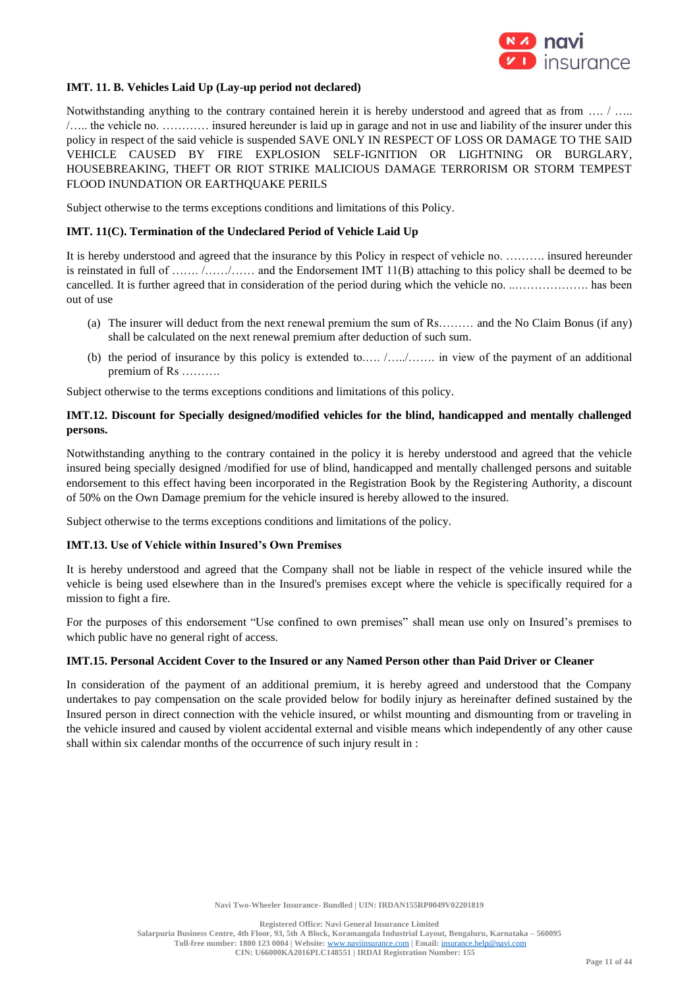

## **IMT. 11. B. Vehicles Laid Up (Lay-up period not declared)**

Notwithstanding anything to the contrary contained herein it is hereby understood and agreed that as from .... / .... /….. the vehicle no. ………… insured hereunder is laid up in garage and not in use and liability of the insurer under this policy in respect of the said vehicle is suspended SAVE ONLY IN RESPECT OF LOSS OR DAMAGE TO THE SAID VEHICLE CAUSED BY FIRE EXPLOSION SELF-IGNITION OR LIGHTNING OR BURGLARY, HOUSEBREAKING, THEFT OR RIOT STRIKE MALICIOUS DAMAGE TERRORISM OR STORM TEMPEST FLOOD INUNDATION OR EARTHQUAKE PERILS

Subject otherwise to the terms exceptions conditions and limitations of this Policy.

## **IMT. 11(C). Termination of the Undeclared Period of Vehicle Laid Up**

It is hereby understood and agreed that the insurance by this Policy in respect of vehicle no. ………. insured hereunder is reinstated in full of ……. /……/…… and the Endorsement IMT 11(B) attaching to this policy shall be deemed to be cancelled. It is further agreed that in consideration of the period during which the vehicle no. ..………………. has been out of use

- (a) The insurer will deduct from the next renewal premium the sum of Rs……… and the No Claim Bonus (if any) shall be calculated on the next renewal premium after deduction of such sum.
- (b) the period of insurance by this policy is extended to.…. /…../……. in view of the payment of an additional premium of Rs ……….

Subject otherwise to the terms exceptions conditions and limitations of this policy.

## **IMT.12. Discount for Specially designed/modified vehicles for the blind, handicapped and mentally challenged persons.**

Notwithstanding anything to the contrary contained in the policy it is hereby understood and agreed that the vehicle insured being specially designed /modified for use of blind, handicapped and mentally challenged persons and suitable endorsement to this effect having been incorporated in the Registration Book by the Registering Authority, a discount of 50% on the Own Damage premium for the vehicle insured is hereby allowed to the insured.

Subject otherwise to the terms exceptions conditions and limitations of the policy.

### **IMT.13. Use of Vehicle within Insured's Own Premises**

It is hereby understood and agreed that the Company shall not be liable in respect of the vehicle insured while the vehicle is being used elsewhere than in the Insured's premises except where the vehicle is specifically required for a mission to fight a fire.

For the purposes of this endorsement "Use confined to own premises" shall mean use only on Insured's premises to which public have no general right of access.

#### **IMT.15. Personal Accident Cover to the Insured or any Named Person other than Paid Driver or Cleaner**

In consideration of the payment of an additional premium, it is hereby agreed and understood that the Company undertakes to pay compensation on the scale provided below for bodily injury as hereinafter defined sustained by the Insured person in direct connection with the vehicle insured, or whilst mounting and dismounting from or traveling in the vehicle insured and caused by violent accidental external and visible means which independently of any other cause shall within six calendar months of the occurrence of such injury result in :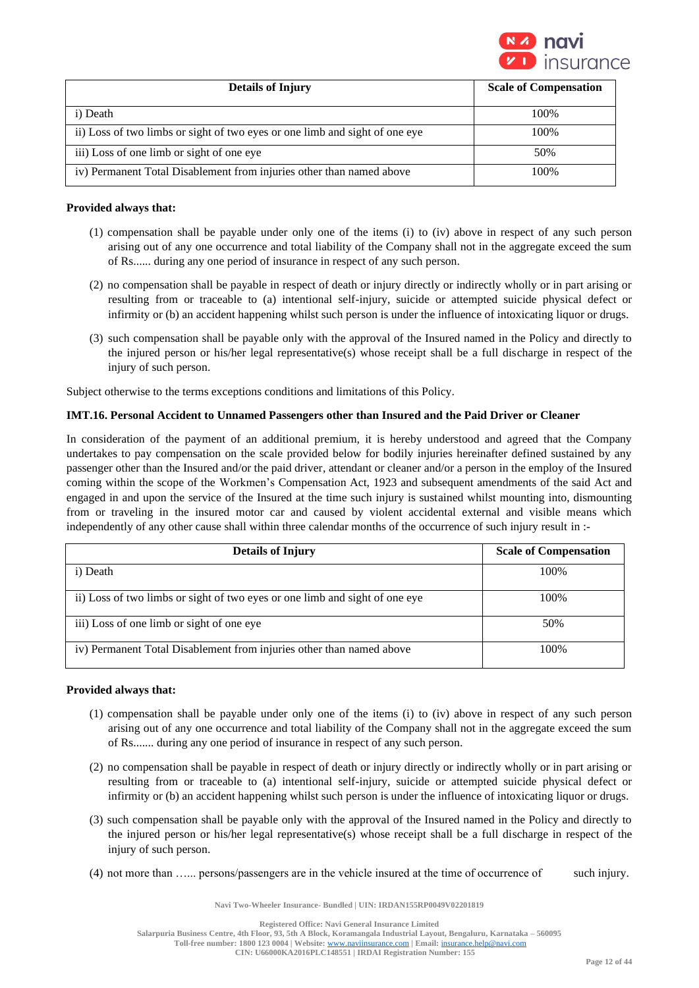

| <b>Details of Injury</b>                                                    | <b>Scale of Compensation</b> |
|-----------------------------------------------------------------------------|------------------------------|
| i) Death                                                                    | 100\%                        |
| ii) Loss of two limbs or sight of two eyes or one limb and sight of one eye | 100%                         |
| iii) Loss of one limb or sight of one eye                                   | 50%                          |
| iv) Permanent Total Disablement from injuries other than named above        | 100%                         |

## **Provided always that:**

- (1) compensation shall be payable under only one of the items (i) to (iv) above in respect of any such person arising out of any one occurrence and total liability of the Company shall not in the aggregate exceed the sum of Rs...... during any one period of insurance in respect of any such person.
- (2) no compensation shall be payable in respect of death or injury directly or indirectly wholly or in part arising or resulting from or traceable to (a) intentional self-injury, suicide or attempted suicide physical defect or infirmity or (b) an accident happening whilst such person is under the influence of intoxicating liquor or drugs.
- (3) such compensation shall be payable only with the approval of the Insured named in the Policy and directly to the injured person or his/her legal representative(s) whose receipt shall be a full discharge in respect of the injury of such person.

Subject otherwise to the terms exceptions conditions and limitations of this Policy.

## **IMT.16. Personal Accident to Unnamed Passengers other than Insured and the Paid Driver or Cleaner**

In consideration of the payment of an additional premium, it is hereby understood and agreed that the Company undertakes to pay compensation on the scale provided below for bodily injuries hereinafter defined sustained by any passenger other than the Insured and/or the paid driver, attendant or cleaner and/or a person in the employ of the Insured coming within the scope of the Workmen's Compensation Act, 1923 and subsequent amendments of the said Act and engaged in and upon the service of the Insured at the time such injury is sustained whilst mounting into, dismounting from or traveling in the insured motor car and caused by violent accidental external and visible means which independently of any other cause shall within three calendar months of the occurrence of such injury result in :-

| <b>Details of Injury</b>                                                    | <b>Scale of Compensation</b> |
|-----------------------------------------------------------------------------|------------------------------|
| i) Death                                                                    | 100%                         |
| ii) Loss of two limbs or sight of two eyes or one limb and sight of one eye | 100%                         |
| iii) Loss of one limb or sight of one eye                                   | 50%                          |
| iv) Permanent Total Disablement from injuries other than named above        | 100%                         |

## **Provided always that:**

- (1) compensation shall be payable under only one of the items (i) to (iv) above in respect of any such person arising out of any one occurrence and total liability of the Company shall not in the aggregate exceed the sum of Rs....... during any one period of insurance in respect of any such person.
- (2) no compensation shall be payable in respect of death or injury directly or indirectly wholly or in part arising or resulting from or traceable to (a) intentional self-injury, suicide or attempted suicide physical defect or infirmity or (b) an accident happening whilst such person is under the influence of intoxicating liquor or drugs.
- (3) such compensation shall be payable only with the approval of the Insured named in the Policy and directly to the injured person or his/her legal representative(s) whose receipt shall be a full discharge in respect of the injury of such person.
- (4) not more than …... persons/passengers are in the vehicle insured at the time of occurrence of such injury.

**Navi Two-Wheeler Insurance- Bundled | UIN: IRDAN155RP0049V02201819**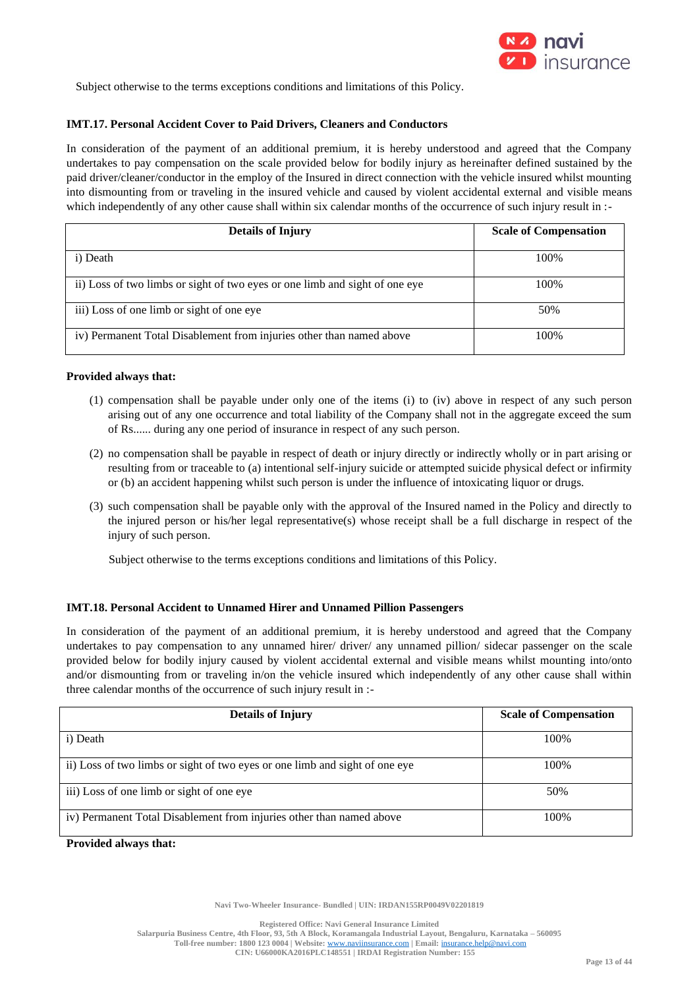

Subject otherwise to the terms exceptions conditions and limitations of this Policy.

## **IMT.17. Personal Accident Cover to Paid Drivers, Cleaners and Conductors**

In consideration of the payment of an additional premium, it is hereby understood and agreed that the Company undertakes to pay compensation on the scale provided below for bodily injury as hereinafter defined sustained by the paid driver/cleaner/conductor in the employ of the Insured in direct connection with the vehicle insured whilst mounting into dismounting from or traveling in the insured vehicle and caused by violent accidental external and visible means which independently of any other cause shall within six calendar months of the occurrence of such injury result in :-

| <b>Details of Injury</b>                                                    | <b>Scale of Compensation</b> |
|-----------------------------------------------------------------------------|------------------------------|
| i) Death                                                                    | 100\%                        |
| ii) Loss of two limbs or sight of two eyes or one limb and sight of one eye | 100\%                        |
| iii) Loss of one limb or sight of one eye                                   | 50%                          |
| iv) Permanent Total Disablement from injuries other than named above        | 100\%                        |

## **Provided always that:**

- (1) compensation shall be payable under only one of the items (i) to (iv) above in respect of any such person arising out of any one occurrence and total liability of the Company shall not in the aggregate exceed the sum of Rs...... during any one period of insurance in respect of any such person.
- (2) no compensation shall be payable in respect of death or injury directly or indirectly wholly or in part arising or resulting from or traceable to (a) intentional self-injury suicide or attempted suicide physical defect or infirmity or (b) an accident happening whilst such person is under the influence of intoxicating liquor or drugs.
- (3) such compensation shall be payable only with the approval of the Insured named in the Policy and directly to the injured person or his/her legal representative(s) whose receipt shall be a full discharge in respect of the injury of such person.

Subject otherwise to the terms exceptions conditions and limitations of this Policy.

## **IMT.18. Personal Accident to Unnamed Hirer and Unnamed Pillion Passengers**

In consideration of the payment of an additional premium, it is hereby understood and agreed that the Company undertakes to pay compensation to any unnamed hirer/ driver/ any unnamed pillion/ sidecar passenger on the scale provided below for bodily injury caused by violent accidental external and visible means whilst mounting into/onto and/or dismounting from or traveling in/on the vehicle insured which independently of any other cause shall within three calendar months of the occurrence of such injury result in :-

| <b>Details of Injury</b>                                                    | <b>Scale of Compensation</b> |
|-----------------------------------------------------------------------------|------------------------------|
| i) Death                                                                    | 100%                         |
| ii) Loss of two limbs or sight of two eyes or one limb and sight of one eye | 100%                         |
| iii) Loss of one limb or sight of one eye                                   | 50%                          |
| iv) Permanent Total Disablement from injuries other than named above        | 100%                         |

**Provided always that:**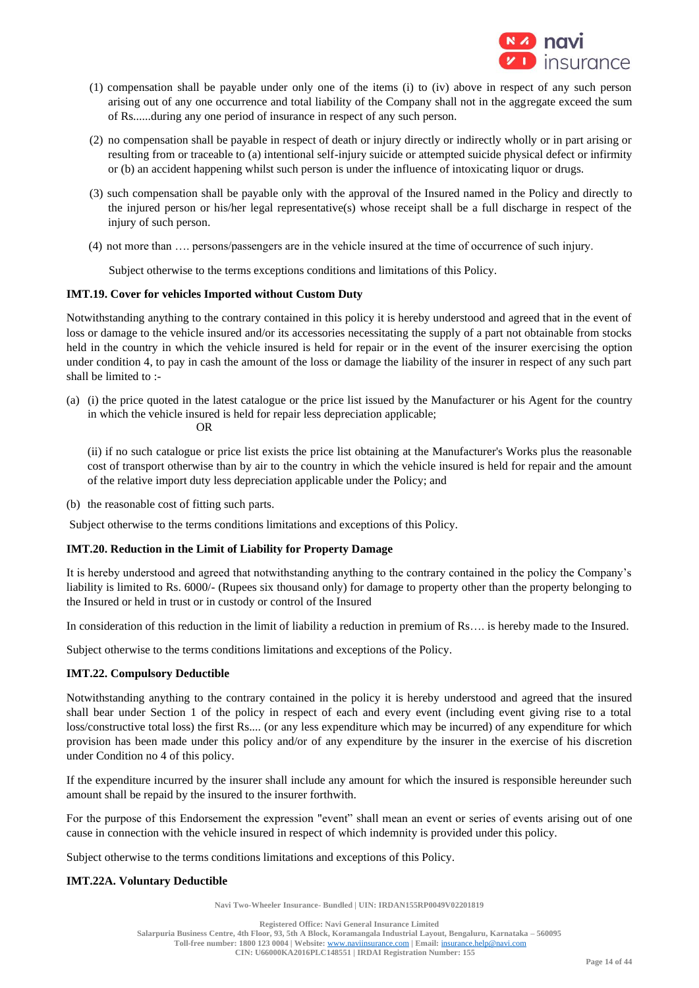

- (1) compensation shall be payable under only one of the items (i) to (iv) above in respect of any such person arising out of any one occurrence and total liability of the Company shall not in the aggregate exceed the sum of Rs......during any one period of insurance in respect of any such person.
- (2) no compensation shall be payable in respect of death or injury directly or indirectly wholly or in part arising or resulting from or traceable to (a) intentional self-injury suicide or attempted suicide physical defect or infirmity or (b) an accident happening whilst such person is under the influence of intoxicating liquor or drugs.
- (3) such compensation shall be payable only with the approval of the Insured named in the Policy and directly to the injured person or his/her legal representative(s) whose receipt shall be a full discharge in respect of the injury of such person.
- (4) not more than …. persons/passengers are in the vehicle insured at the time of occurrence of such injury.

Subject otherwise to the terms exceptions conditions and limitations of this Policy.

## **IMT.19. Cover for vehicles Imported without Custom Duty**

Notwithstanding anything to the contrary contained in this policy it is hereby understood and agreed that in the event of loss or damage to the vehicle insured and/or its accessories necessitating the supply of a part not obtainable from stocks held in the country in which the vehicle insured is held for repair or in the event of the insurer exercising the option under condition 4, to pay in cash the amount of the loss or damage the liability of the insurer in respect of any such part shall be limited to :-

(a) (i) the price quoted in the latest catalogue or the price list issued by the Manufacturer or his Agent for the country in which the vehicle insured is held for repair less depreciation applicable; OR

(ii) if no such catalogue or price list exists the price list obtaining at the Manufacturer's Works plus the reasonable cost of transport otherwise than by air to the country in which the vehicle insured is held for repair and the amount of the relative import duty less depreciation applicable under the Policy; and

(b) the reasonable cost of fitting such parts.

Subject otherwise to the terms conditions limitations and exceptions of this Policy.

## **IMT.20. Reduction in the Limit of Liability for Property Damage**

It is hereby understood and agreed that notwithstanding anything to the contrary contained in the policy the Company's liability is limited to Rs. 6000/- (Rupees six thousand only) for damage to property other than the property belonging to the Insured or held in trust or in custody or control of the Insured

In consideration of this reduction in the limit of liability a reduction in premium of Rs…. is hereby made to the Insured.

Subject otherwise to the terms conditions limitations and exceptions of the Policy.

## **IMT.22. Compulsory Deductible**

Notwithstanding anything to the contrary contained in the policy it is hereby understood and agreed that the insured shall bear under Section 1 of the policy in respect of each and every event (including event giving rise to a total loss/constructive total loss) the first Rs.... (or any less expenditure which may be incurred) of any expenditure for which provision has been made under this policy and/or of any expenditure by the insurer in the exercise of his discretion under Condition no 4 of this policy.

If the expenditure incurred by the insurer shall include any amount for which the insured is responsible hereunder such amount shall be repaid by the insured to the insurer forthwith.

For the purpose of this Endorsement the expression "event" shall mean an event or series of events arising out of one cause in connection with the vehicle insured in respect of which indemnity is provided under this policy.

Subject otherwise to the terms conditions limitations and exceptions of this Policy.

## **IMT.22A. Voluntary Deductible**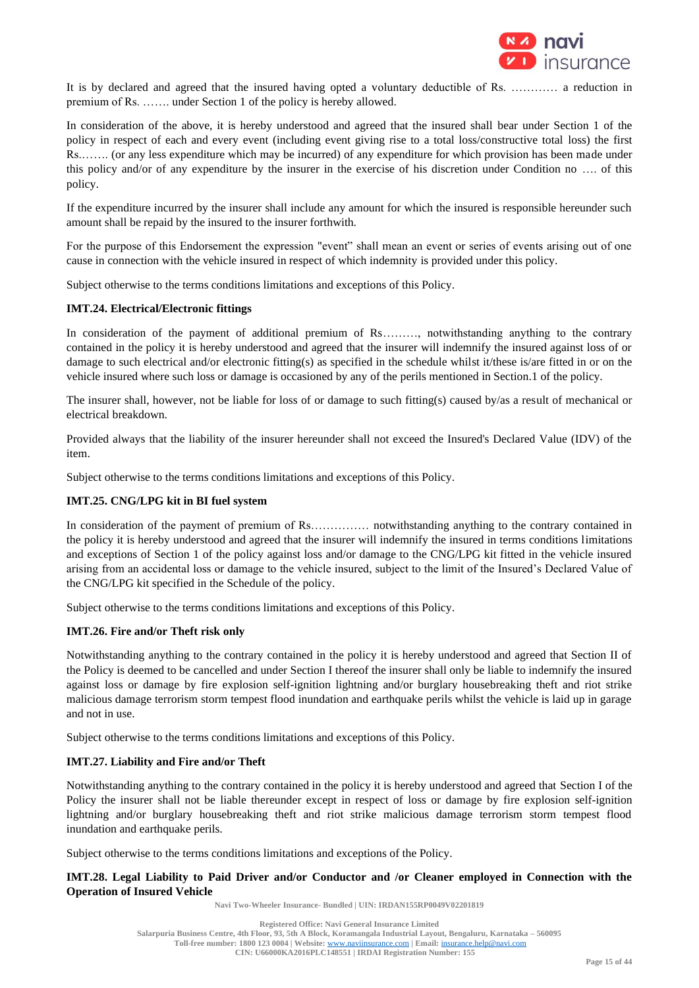

It is by declared and agreed that the insured having opted a voluntary deductible of Rs. ………… a reduction in premium of Rs. ……. under Section 1 of the policy is hereby allowed.

In consideration of the above, it is hereby understood and agreed that the insured shall bear under Section 1 of the policy in respect of each and every event (including event giving rise to a total loss/constructive total loss) the first Rs.……. (or any less expenditure which may be incurred) of any expenditure for which provision has been made under this policy and/or of any expenditure by the insurer in the exercise of his discretion under Condition no …. of this policy.

If the expenditure incurred by the insurer shall include any amount for which the insured is responsible hereunder such amount shall be repaid by the insured to the insurer forthwith.

For the purpose of this Endorsement the expression "event" shall mean an event or series of events arising out of one cause in connection with the vehicle insured in respect of which indemnity is provided under this policy.

Subject otherwise to the terms conditions limitations and exceptions of this Policy.

## **IMT.24. Electrical/Electronic fittings**

In consideration of the payment of additional premium of Rs………, notwithstanding anything to the contrary contained in the policy it is hereby understood and agreed that the insurer will indemnify the insured against loss of or damage to such electrical and/or electronic fitting(s) as specified in the schedule whilst it/these is/are fitted in or on the vehicle insured where such loss or damage is occasioned by any of the perils mentioned in Section.1 of the policy.

The insurer shall, however, not be liable for loss of or damage to such fitting(s) caused by/as a result of mechanical or electrical breakdown.

Provided always that the liability of the insurer hereunder shall not exceed the Insured's Declared Value (IDV) of the item.

Subject otherwise to the terms conditions limitations and exceptions of this Policy.

## **IMT.25. CNG/LPG kit in BI fuel system**

In consideration of the payment of premium of Rs…………… notwithstanding anything to the contrary contained in the policy it is hereby understood and agreed that the insurer will indemnify the insured in terms conditions limitations and exceptions of Section 1 of the policy against loss and/or damage to the CNG/LPG kit fitted in the vehicle insured arising from an accidental loss or damage to the vehicle insured, subject to the limit of the Insured's Declared Value of the CNG/LPG kit specified in the Schedule of the policy.

Subject otherwise to the terms conditions limitations and exceptions of this Policy.

## **IMT.26. Fire and/or Theft risk only**

Notwithstanding anything to the contrary contained in the policy it is hereby understood and agreed that Section II of the Policy is deemed to be cancelled and under Section I thereof the insurer shall only be liable to indemnify the insured against loss or damage by fire explosion self-ignition lightning and/or burglary housebreaking theft and riot strike malicious damage terrorism storm tempest flood inundation and earthquake perils whilst the vehicle is laid up in garage and not in use.

Subject otherwise to the terms conditions limitations and exceptions of this Policy.

#### **IMT.27. Liability and Fire and/or Theft**

Notwithstanding anything to the contrary contained in the policy it is hereby understood and agreed that Section I of the Policy the insurer shall not be liable thereunder except in respect of loss or damage by fire explosion self-ignition lightning and/or burglary housebreaking theft and riot strike malicious damage terrorism storm tempest flood inundation and earthquake perils.

Subject otherwise to the terms conditions limitations and exceptions of the Policy.

## **IMT.28. Legal Liability to Paid Driver and/or Conductor and /or Cleaner employed in Connection with the Operation of Insured Vehicle**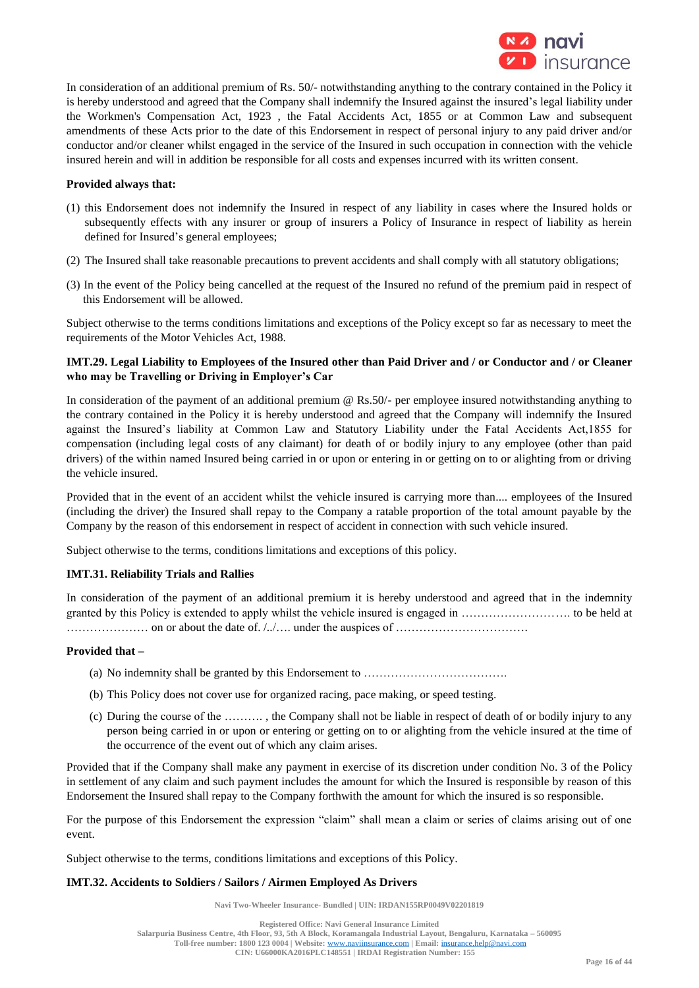

In consideration of an additional premium of Rs. 50/- notwithstanding anything to the contrary contained in the Policy it is hereby understood and agreed that the Company shall indemnify the Insured against the insured's legal liability under the Workmen's Compensation Act, 1923 , the Fatal Accidents Act, 1855 or at Common Law and subsequent amendments of these Acts prior to the date of this Endorsement in respect of personal injury to any paid driver and/or conductor and/or cleaner whilst engaged in the service of the Insured in such occupation in connection with the vehicle insured herein and will in addition be responsible for all costs and expenses incurred with its written consent.

### **Provided always that:**

- (1) this Endorsement does not indemnify the Insured in respect of any liability in cases where the Insured holds or subsequently effects with any insurer or group of insurers a Policy of Insurance in respect of liability as herein defined for Insured's general employees;
- (2) The Insured shall take reasonable precautions to prevent accidents and shall comply with all statutory obligations;
- (3) In the event of the Policy being cancelled at the request of the Insured no refund of the premium paid in respect of this Endorsement will be allowed.

Subject otherwise to the terms conditions limitations and exceptions of the Policy except so far as necessary to meet the requirements of the Motor Vehicles Act, 1988.

## **IMT.29. Legal Liability to Employees of the Insured other than Paid Driver and / or Conductor and / or Cleaner who may be Travelling or Driving in Employer's Car**

In consideration of the payment of an additional premium @ Rs.50/- per employee insured notwithstanding anything to the contrary contained in the Policy it is hereby understood and agreed that the Company will indemnify the Insured against the Insured's liability at Common Law and Statutory Liability under the Fatal Accidents Act,1855 for compensation (including legal costs of any claimant) for death of or bodily injury to any employee (other than paid drivers) of the within named Insured being carried in or upon or entering in or getting on to or alighting from or driving the vehicle insured.

Provided that in the event of an accident whilst the vehicle insured is carrying more than.... employees of the Insured (including the driver) the Insured shall repay to the Company a ratable proportion of the total amount payable by the Company by the reason of this endorsement in respect of accident in connection with such vehicle insured.

Subject otherwise to the terms, conditions limitations and exceptions of this policy.

#### **IMT.31. Reliability Trials and Rallies**

In consideration of the payment of an additional premium it is hereby understood and agreed that in the indemnity granted by this Policy is extended to apply whilst the vehicle insured is engaged in ………………………. to be held at ………………… on or about the date of. /../…. under the auspices of …………………………….

#### **Provided that –**

- (a) No indemnity shall be granted by this Endorsement to ……………………………….
- (b) This Policy does not cover use for organized racing, pace making, or speed testing.
- (c) During the course of the ………. , the Company shall not be liable in respect of death of or bodily injury to any person being carried in or upon or entering or getting on to or alighting from the vehicle insured at the time of the occurrence of the event out of which any claim arises.

Provided that if the Company shall make any payment in exercise of its discretion under condition No. 3 of the Policy in settlement of any claim and such payment includes the amount for which the Insured is responsible by reason of this Endorsement the Insured shall repay to the Company forthwith the amount for which the insured is so responsible.

For the purpose of this Endorsement the expression "claim" shall mean a claim or series of claims arising out of one event.

Subject otherwise to the terms, conditions limitations and exceptions of this Policy.

## **IMT.32. Accidents to Soldiers / Sailors / Airmen Employed As Drivers**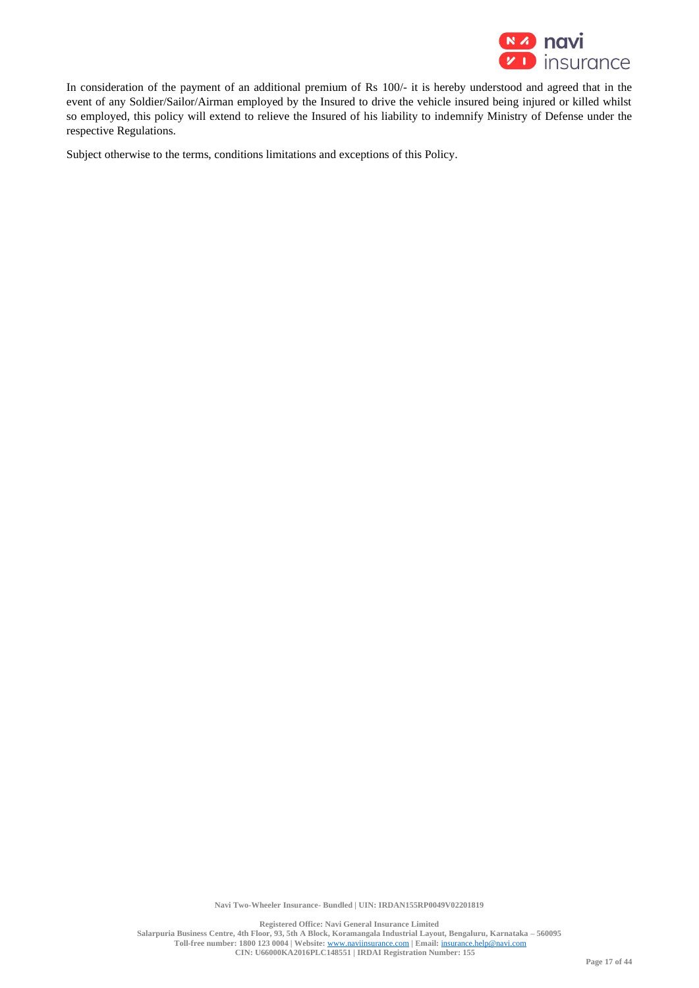

In consideration of the payment of an additional premium of Rs 100/- it is hereby understood and agreed that in the event of any Soldier/Sailor/Airman employed by the Insured to drive the vehicle insured being injured or killed whilst so employed, this policy will extend to relieve the Insured of his liability to indemnify Ministry of Defense under the respective Regulations.

Subject otherwise to the terms, conditions limitations and exceptions of this Policy.

**Navi Two-Wheeler Insurance- Bundled | UIN: IRDAN155RP0049V02201819**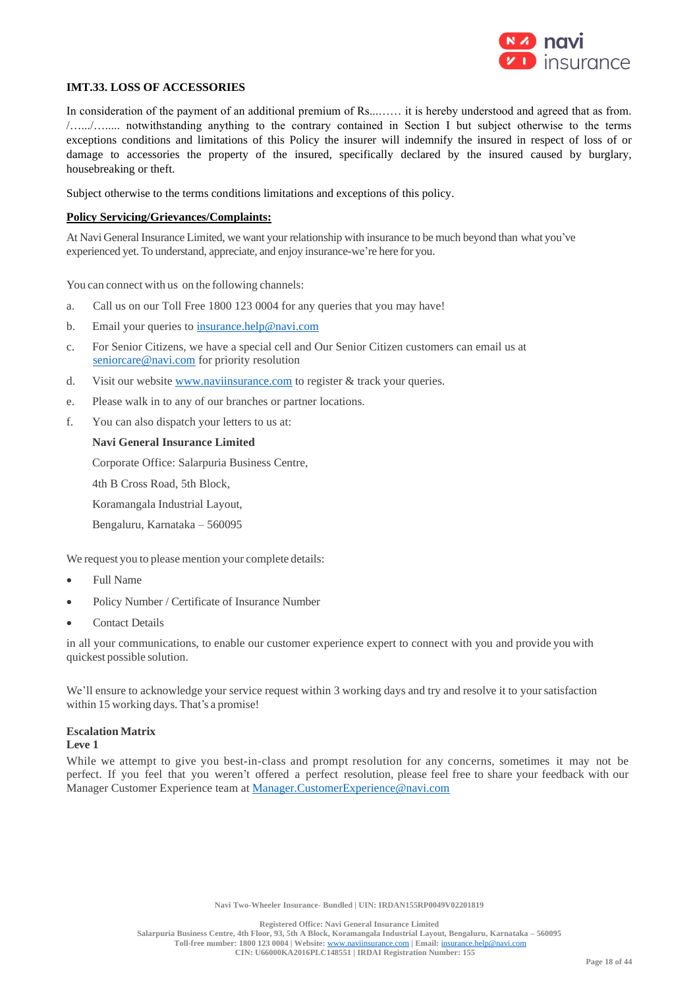

## **IMT.33. LOSS OF ACCESSORIES**

In consideration of the payment of an additional premium of Rs........ it is hereby understood and agreed that as from. /….../…..... notwithstanding anything to the contrary contained in Section I but subject otherwise to the terms exceptions conditions and limitations of this Policy the insurer will indemnify the insured in respect of loss of or damage to accessories the property of the insured, specifically declared by the insured caused by burglary, housebreaking or theft.

Subject otherwise to the terms conditions limitations and exceptions of this policy.

### **Policy Servicing/Grievances/Complaints:**

At Navi General Insurance Limited, we want your relationship with insurance to be much beyond than what you've experienced yet. To understand, appreciate, and enjoy insurance-we're here for you.

You can connect with us on the following channels:

- a. Call us on our Toll Free 1800 123 0004 for any queries that you may have!
- b. Email your queries to [insurance.help@navi.com](mailto:insurance.help@navi.com)
- c. For Senior Citizens, we have a special cell and Our Senior Citizen customers can email us at [seniorcare@navi.com](mailto:seniorcare@navi.com) for priority resolution
- d. Visit our website [www.naviinsurance.com](http://www.naviinsurance.com/) to register & track your queries.
- e. Please walk in to any of our branches or partner locations.
- f. You can also dispatch your letters to us at:

### **Navi General Insurance Limited**

Corporate Office: Salarpuria Business Centre,

4th B Cross Road, 5th Block,

Koramangala Industrial Layout,

Bengaluru, Karnataka – 560095

We request you to please mention your complete details:

- Full Name
- Policy Number / Certificate of Insurance Number
- Contact Details

in all your communications, to enable our customer experience expert to connect with you and provide you with quickest possible solution.

We'll ensure to acknowledge your service request within 3 working days and try and resolve it to your satisfaction within 15 working days. That's a promise!

#### **Escalation Matrix**

#### **Leve 1**

While we attempt to give you best-in-class and prompt resolution for any concerns, sometimes it may not be perfect. If you feel that you weren't offered a perfect resolution, please feel free to share your feedback with our Manager Customer Experience team at Manager.CustomerExperience@navi.com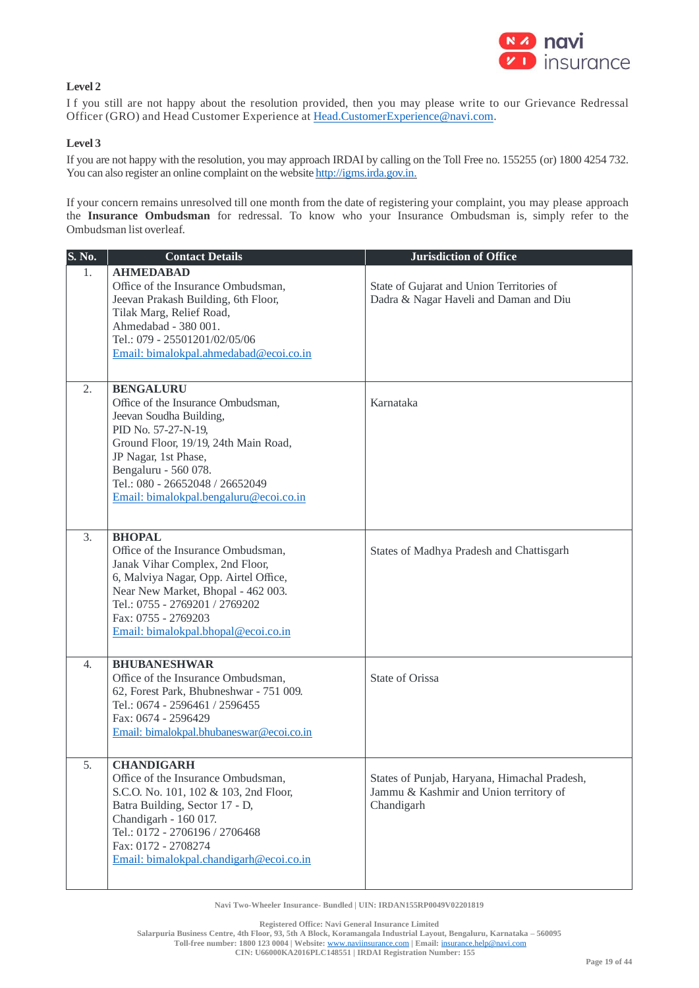

## **Level 2**

I f you still are not happy about the resolution provided, then you may please write to our Grievance Redressal Officer (GRO) and Head Customer Experience at [Head.CustomerExperience@navi.com.](mailto:Head.CustomerExperience@cocogeneralinsurance.com)

## **Level 3**

If you are not happy with the resolution, you may approach IRDAI by calling on the Toll Free no. 155255 (or) 1800 4254 732. You can also register an online complaint on the website [http://igms.irda.gov.in.](http://igms.irda.gov.in/)

If your concern remains unresolved till one month from the date of registering your complaint, you may please approach the **Insurance Ombudsman** for redressal. To know who your Insurance Ombudsman is, simply refer to the Ombudsman list overleaf.

| S. No. | <b>Contact Details</b>                                                                                                                                                                                                                                                        | <b>Jurisdiction of Office</b>                                                                        |
|--------|-------------------------------------------------------------------------------------------------------------------------------------------------------------------------------------------------------------------------------------------------------------------------------|------------------------------------------------------------------------------------------------------|
| 1.     | <b>AHMEDABAD</b><br>Office of the Insurance Ombudsman,<br>Jeevan Prakash Building, 6th Floor,<br>Tilak Marg, Relief Road,<br>Ahmedabad - 380 001.<br>Tel.: 079 - 25501201/02/05/06<br>Email: bimalokpal.ahmedabad@ecoi.co.in                                                  | State of Gujarat and Union Territories of<br>Dadra & Nagar Haveli and Daman and Diu                  |
| 2.     | <b>BENGALURU</b><br>Office of the Insurance Ombudsman,<br>Jeevan Soudha Building,<br>PID No. 57-27-N-19,<br>Ground Floor, 19/19, 24th Main Road,<br>JP Nagar, 1st Phase,<br>Bengaluru - 560 078.<br>Tel.: 080 - 26652048 / 26652049<br>Email: bimalokpal.bengaluru@ecoi.co.in | Karnataka                                                                                            |
| 3.     | <b>BHOPAL</b><br>Office of the Insurance Ombudsman,<br>Janak Vihar Complex, 2nd Floor,<br>6, Malviya Nagar, Opp. Airtel Office,<br>Near New Market, Bhopal - 462 003.<br>Tel.: 0755 - 2769201 / 2769202<br>Fax: 0755 - 2769203<br>Email: bimalokpal.bhopal@ecoi.co.in         | States of Madhya Pradesh and Chattisgarh                                                             |
| 4.     | <b>BHUBANESHWAR</b><br>Office of the Insurance Ombudsman,<br>62, Forest Park, Bhubneshwar - 751 009.<br>Tel.: 0674 - 2596461 / 2596455<br>Fax: 0674 - 2596429<br>Email: bimalokpal.bhubaneswar@ecoi.co.in                                                                     | State of Orissa                                                                                      |
| 5.     | <b>CHANDIGARH</b><br>Office of the Insurance Ombudsman,<br>S.C.O. No. 101, 102 & 103, 2nd Floor,<br>Batra Building, Sector 17 - D,<br>Chandigarh - 160 017.<br>Tel.: 0172 - 2706196 / 2706468<br>Fax: 0172 - 2708274<br>Email: bimalokpal.chandigarh@ecoi.co.in               | States of Punjab, Haryana, Himachal Pradesh,<br>Jammu & Kashmir and Union territory of<br>Chandigarh |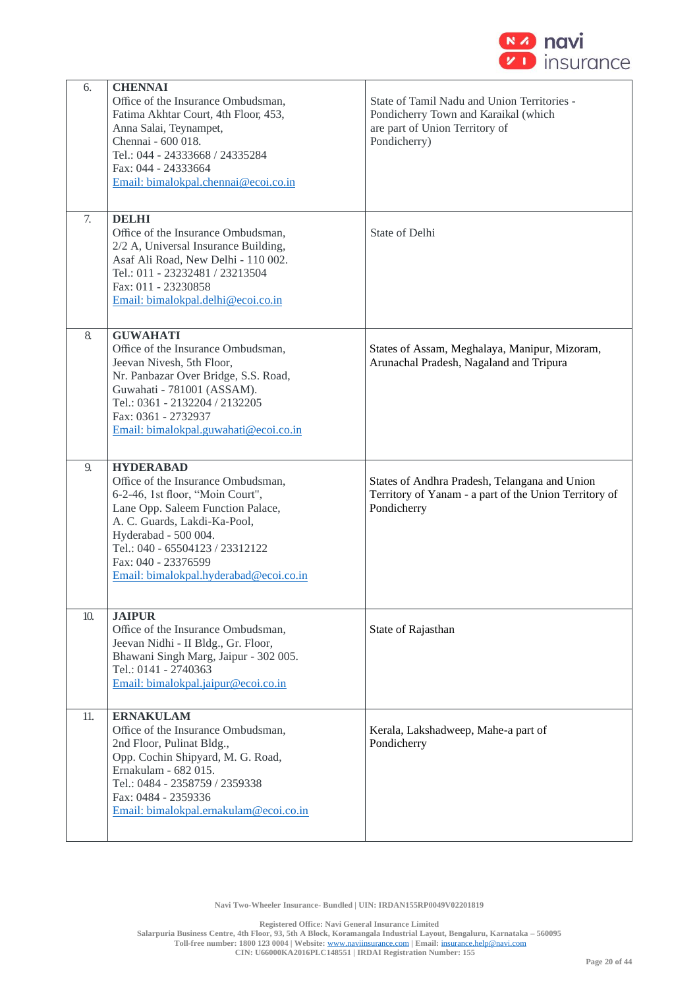

| 6.  | <b>CHENNAI</b>                                          |                                                       |
|-----|---------------------------------------------------------|-------------------------------------------------------|
|     | Office of the Insurance Ombudsman,                      | State of Tamil Nadu and Union Territories -           |
|     | Fatima Akhtar Court, 4th Floor, 453,                    | Pondicherry Town and Karaikal (which                  |
|     | Anna Salai, Teynampet,                                  | are part of Union Territory of                        |
|     | Chennai - 600 018.                                      | Pondicherry)                                          |
|     | Tel.: 044 - 24333668 / 24335284                         |                                                       |
|     | Fax: 044 - 24333664                                     |                                                       |
|     | Email: bimalokpal.chennai@ecoi.co.in                    |                                                       |
|     |                                                         |                                                       |
| 7.  | <b>DELHI</b>                                            |                                                       |
|     | Office of the Insurance Ombudsman,                      | State of Delhi                                        |
|     | 2/2 A, Universal Insurance Building,                    |                                                       |
|     | Asaf Ali Road, New Delhi - 110 002.                     |                                                       |
|     | Tel.: 011 - 23232481 / 23213504                         |                                                       |
|     | Fax: 011 - 23230858                                     |                                                       |
|     | Email: bimalokpal.delhi@ecoi.co.in                      |                                                       |
|     |                                                         |                                                       |
| 8.  | <b>GUWAHATI</b>                                         |                                                       |
|     | Office of the Insurance Ombudsman,                      | States of Assam, Meghalaya, Manipur, Mizoram,         |
|     | Jeevan Nivesh, 5th Floor,                               | Arunachal Pradesh, Nagaland and Tripura               |
|     | Nr. Panbazar Over Bridge, S.S. Road,                    |                                                       |
|     | Guwahati - 781001 (ASSAM).                              |                                                       |
|     | Tel.: 0361 - 2132204 / 2132205                          |                                                       |
|     | Fax: 0361 - 2732937                                     |                                                       |
|     | Email: bimalokpal.guwahati@ecoi.co.in                   |                                                       |
|     |                                                         |                                                       |
| 9.  | <b>HYDERABAD</b>                                        |                                                       |
|     | Office of the Insurance Ombudsman,                      | States of Andhra Pradesh, Telangana and Union         |
|     | 6-2-46, 1st floor, "Moin Court",                        | Territory of Yanam - a part of the Union Territory of |
|     | Lane Opp. Saleem Function Palace,                       | Pondicherry                                           |
|     | A. C. Guards, Lakdi-Ka-Pool,                            |                                                       |
|     | Hyderabad - 500 004.<br>Tel.: 040 - 65504123 / 23312122 |                                                       |
|     | Fax: 040 - 23376599                                     |                                                       |
|     | Email: bimalokpal.hyderabad@ecoi.co.in                  |                                                       |
|     |                                                         |                                                       |
|     |                                                         |                                                       |
| 10. | <b>JAIPUR</b>                                           |                                                       |
|     | Office of the Insurance Ombudsman,                      | State of Rajasthan                                    |
|     | Jeevan Nidhi - II Bldg., Gr. Floor,                     |                                                       |
|     | Bhawani Singh Marg, Jaipur - 302 005.                   |                                                       |
|     | Tel.: 0141 - 2740363                                    |                                                       |
|     | Email: bimalokpal.jaipur@ecoi.co.in                     |                                                       |
| 11. | <b>ERNAKULAM</b>                                        |                                                       |
|     | Office of the Insurance Ombudsman,                      | Kerala, Lakshadweep, Mahe-a part of                   |
|     | 2nd Floor, Pulinat Bldg.,                               | Pondicherry                                           |
|     | Opp. Cochin Shipyard, M. G. Road,                       |                                                       |
|     | Ernakulam - 682 015.                                    |                                                       |
|     | Tel.: 0484 - 2358759 / 2359338                          |                                                       |
|     | Fax: 0484 - 2359336                                     |                                                       |
|     | Email: bimalokpal.ernakulam@ecoi.co.in                  |                                                       |
|     |                                                         |                                                       |
|     |                                                         |                                                       |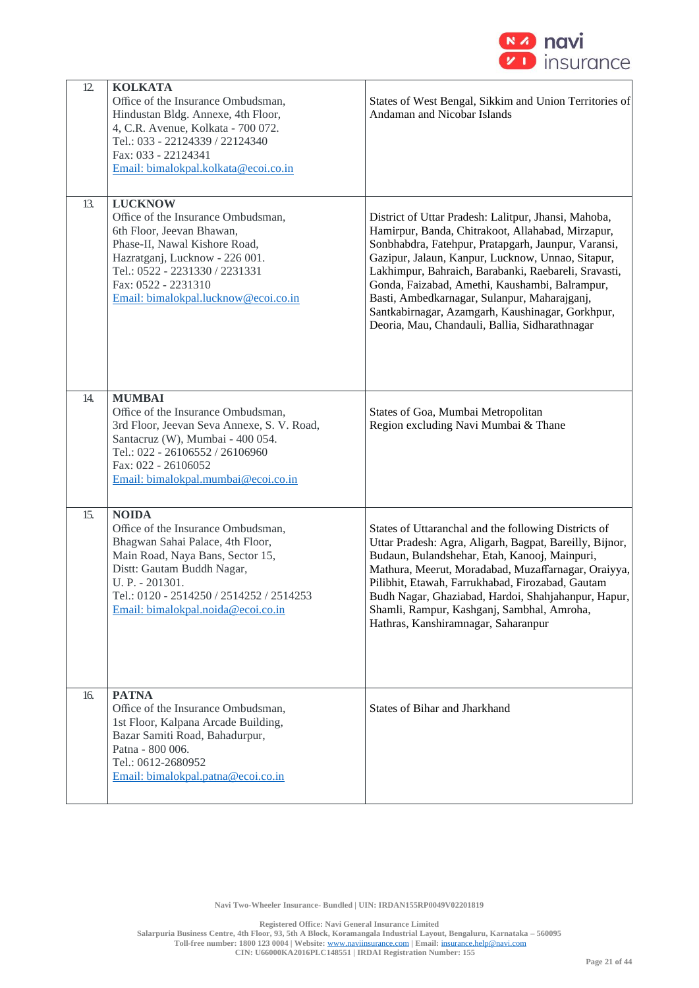

| 12. | <b>KOLKATA</b><br>Office of the Insurance Ombudsman,<br>Hindustan Bldg. Annexe, 4th Floor,<br>4, C.R. Avenue, Kolkata - 700 072.<br>Tel.: 033 - 22124339 / 22124340<br>Fax: 033 - 22124341<br>Email: bimalokpal.kolkata@ecoi.co.in                            | States of West Bengal, Sikkim and Union Territories of<br>Andaman and Nicobar Islands                                                                                                                                                                                                                                                                                                                                                                                                 |
|-----|---------------------------------------------------------------------------------------------------------------------------------------------------------------------------------------------------------------------------------------------------------------|---------------------------------------------------------------------------------------------------------------------------------------------------------------------------------------------------------------------------------------------------------------------------------------------------------------------------------------------------------------------------------------------------------------------------------------------------------------------------------------|
| 13. | <b>LUCKNOW</b><br>Office of the Insurance Ombudsman,<br>6th Floor, Jeevan Bhawan,<br>Phase-II, Nawal Kishore Road,<br>Hazratganj, Lucknow - 226 001.<br>Tel.: 0522 - 2231330 / 2231331<br>Fax: 0522 - 2231310<br>Email: bimalokpal.lucknow@ecoi.co.in         | District of Uttar Pradesh: Lalitpur, Jhansi, Mahoba,<br>Hamirpur, Banda, Chitrakoot, Allahabad, Mirzapur,<br>Sonbhabdra, Fatehpur, Pratapgarh, Jaunpur, Varansi,<br>Gazipur, Jalaun, Kanpur, Lucknow, Unnao, Sitapur,<br>Lakhimpur, Bahraich, Barabanki, Raebareli, Sravasti,<br>Gonda, Faizabad, Amethi, Kaushambi, Balrampur,<br>Basti, Ambedkarnagar, Sulanpur, Maharajganj,<br>Santkabirnagar, Azamgarh, Kaushinagar, Gorkhpur,<br>Deoria, Mau, Chandauli, Ballia, Sidharathnagar |
| 14. | <b>MUMBAI</b><br>Office of the Insurance Ombudsman,<br>3rd Floor, Jeevan Seva Annexe, S. V. Road,<br>Santacruz (W), Mumbai - 400 054.<br>Tel.: 022 - 26106552 / 26106960<br>Fax: 022 - 26106052<br>Email: bimalokpal.mumbai@ecoi.co.in                        | States of Goa, Mumbai Metropolitan<br>Region excluding Navi Mumbai & Thane                                                                                                                                                                                                                                                                                                                                                                                                            |
| 15. | <b>NOIDA</b><br>Office of the Insurance Ombudsman,<br>Bhagwan Sahai Palace, 4th Floor,<br>Main Road, Naya Bans, Sector 15,<br>Distt: Gautam Buddh Nagar,<br>U. P. - 201301.<br>Tel.: 0120 - 2514250 / 2514252 / 2514253<br>Email: bimalokpal.noida@ecoi.co.in | States of Uttaranchal and the following Districts of<br>Uttar Pradesh: Agra, Aligarh, Bagpat, Bareilly, Bijnor,<br>Budaun, Bulandshehar, Etah, Kanooj, Mainpuri,<br>Mathura, Meerut, Moradabad, Muzaffarnagar, Oraiyya,<br>Pilibhit, Etawah, Farrukhabad, Firozabad, Gautam<br>Budh Nagar, Ghaziabad, Hardoi, Shahjahanpur, Hapur,<br>Shamli, Rampur, Kashganj, Sambhal, Amroha,<br>Hathras, Kanshiramnagar, Saharanpur                                                               |
| 16. | <b>PATNA</b><br>Office of the Insurance Ombudsman,<br>1st Floor, Kalpana Arcade Building,<br>Bazar Samiti Road, Bahadurpur,<br>Patna - 800 006.<br>Tel.: 0612-2680952<br>Email: bimalokpal.patna@ecoi.co.in                                                   | States of Bihar and Jharkhand                                                                                                                                                                                                                                                                                                                                                                                                                                                         |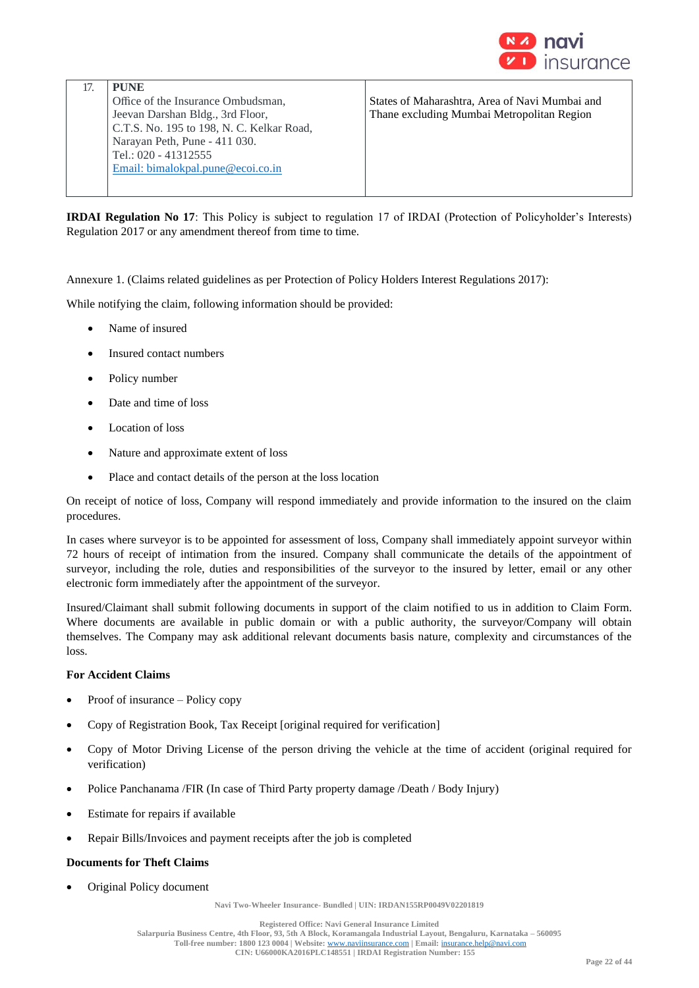

| <b>PUNE</b>                               |                                                |
|-------------------------------------------|------------------------------------------------|
| Office of the Insurance Ombudsman,        | States of Maharashtra, Area of Navi Mumbai and |
| Jeevan Darshan Bldg., 3rd Floor,          | Thane excluding Mumbai Metropolitan Region     |
| C.T.S. No. 195 to 198, N. C. Kelkar Road, |                                                |
| Narayan Peth, Pune - 411 030.             |                                                |
| Tel.: 020 - 41312555                      |                                                |
| Email: bimalokpal.pune@ecoi.co.in         |                                                |
|                                           |                                                |

**IRDAI Regulation No 17**: This Policy is subject to regulation 17 of IRDAI (Protection of Policyholder's Interests) Regulation 2017 or any amendment thereof from time to time.

Annexure 1. (Claims related guidelines as per Protection of Policy Holders Interest Regulations 2017):

While notifying the claim, following information should be provided:

- Name of insured
- Insured contact numbers
- Policy number
- Date and time of loss
- Location of loss
- Nature and approximate extent of loss
- Place and contact details of the person at the loss location

On receipt of notice of loss, Company will respond immediately and provide information to the insured on the claim procedures.

In cases where surveyor is to be appointed for assessment of loss, Company shall immediately appoint surveyor within 72 hours of receipt of intimation from the insured. Company shall communicate the details of the appointment of surveyor, including the role, duties and responsibilities of the surveyor to the insured by letter, email or any other electronic form immediately after the appointment of the surveyor.

Insured/Claimant shall submit following documents in support of the claim notified to us in addition to Claim Form. Where documents are available in public domain or with a public authority, the surveyor/Company will obtain themselves. The Company may ask additional relevant documents basis nature, complexity and circumstances of the loss.

## **For Accident Claims**

- Proof of insurance Policy copy
- Copy of Registration Book, Tax Receipt [original required for verification]
- Copy of Motor Driving License of the person driving the vehicle at the time of accident (original required for verification)
- Police Panchanama /FIR (In case of Third Party property damage /Death / Body Injury)
- Estimate for repairs if available
- Repair Bills/Invoices and payment receipts after the job is completed

## **Documents for Theft Claims**

• Original Policy document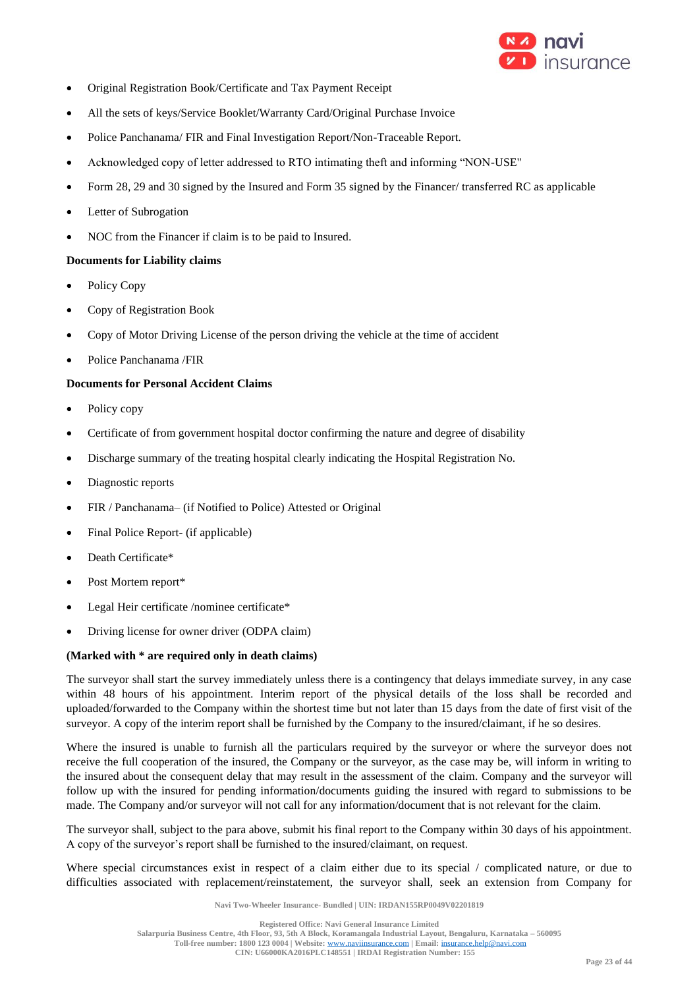

- Original Registration Book/Certificate and Tax Payment Receipt
- All the sets of keys/Service Booklet/Warranty Card/Original Purchase Invoice
- Police Panchanama/ FIR and Final Investigation Report/Non-Traceable Report.
- Acknowledged copy of letter addressed to RTO intimating theft and informing "NON-USE"
- Form 28, 29 and 30 signed by the Insured and Form 35 signed by the Financer/ transferred RC as applicable
- Letter of Subrogation
- NOC from the Financer if claim is to be paid to Insured.

## **Documents for Liability claims**

- Policy Copy
- Copy of Registration Book
- Copy of Motor Driving License of the person driving the vehicle at the time of accident
- Police Panchanama /FIR

## **Documents for Personal Accident Claims**

- Policy copy
- Certificate of from government hospital doctor confirming the nature and degree of disability
- Discharge summary of the treating hospital clearly indicating the Hospital Registration No.
- Diagnostic reports
- FIR / Panchanama– (if Notified to Police) Attested or Original
- Final Police Report- (if applicable)
- Death Certificate\*
- Post Mortem report\*
- Legal Heir certificate /nominee certificate\*
- Driving license for owner driver (ODPA claim)

## **(Marked with \* are required only in death claims)**

The surveyor shall start the survey immediately unless there is a contingency that delays immediate survey, in any case within 48 hours of his appointment. Interim report of the physical details of the loss shall be recorded and uploaded/forwarded to the Company within the shortest time but not later than 15 days from the date of first visit of the surveyor. A copy of the interim report shall be furnished by the Company to the insured/claimant, if he so desires.

Where the insured is unable to furnish all the particulars required by the surveyor or where the surveyor does not receive the full cooperation of the insured, the Company or the surveyor, as the case may be, will inform in writing to the insured about the consequent delay that may result in the assessment of the claim. Company and the surveyor will follow up with the insured for pending information/documents guiding the insured with regard to submissions to be made. The Company and/or surveyor will not call for any information/document that is not relevant for the claim.

The surveyor shall, subject to the para above, submit his final report to the Company within 30 days of his appointment. A copy of the surveyor's report shall be furnished to the insured/claimant, on request.

Where special circumstances exist in respect of a claim either due to its special / complicated nature, or due to difficulties associated with replacement/reinstatement, the surveyor shall, seek an extension from Company for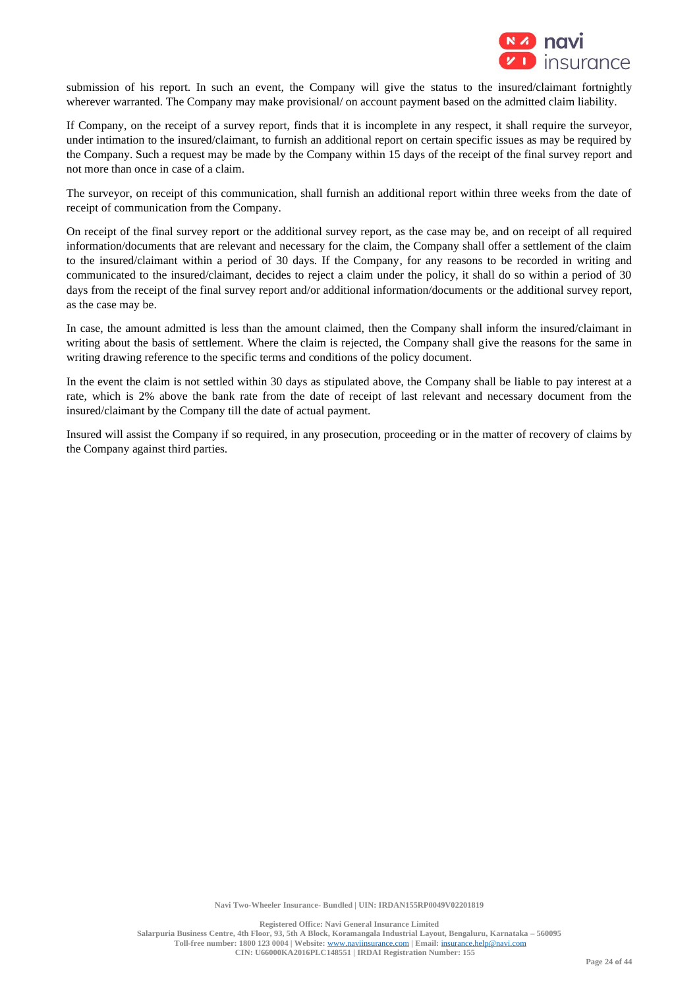

submission of his report. In such an event, the Company will give the status to the insured/claimant fortnightly wherever warranted. The Company may make provisional/ on account payment based on the admitted claim liability.

If Company, on the receipt of a survey report, finds that it is incomplete in any respect, it shall require the surveyor, under intimation to the insured/claimant, to furnish an additional report on certain specific issues as may be required by the Company. Such a request may be made by the Company within 15 days of the receipt of the final survey report and not more than once in case of a claim.

The surveyor, on receipt of this communication, shall furnish an additional report within three weeks from the date of receipt of communication from the Company.

On receipt of the final survey report or the additional survey report, as the case may be, and on receipt of all required information/documents that are relevant and necessary for the claim, the Company shall offer a settlement of the claim to the insured/claimant within a period of 30 days. If the Company, for any reasons to be recorded in writing and communicated to the insured/claimant, decides to reject a claim under the policy, it shall do so within a period of 30 days from the receipt of the final survey report and/or additional information/documents or the additional survey report, as the case may be.

In case, the amount admitted is less than the amount claimed, then the Company shall inform the insured/claimant in writing about the basis of settlement. Where the claim is rejected, the Company shall give the reasons for the same in writing drawing reference to the specific terms and conditions of the policy document.

In the event the claim is not settled within 30 days as stipulated above, the Company shall be liable to pay interest at a rate, which is 2% above the bank rate from the date of receipt of last relevant and necessary document from the insured/claimant by the Company till the date of actual payment.

Insured will assist the Company if so required, in any prosecution, proceeding or in the matter of recovery of claims by the Company against third parties.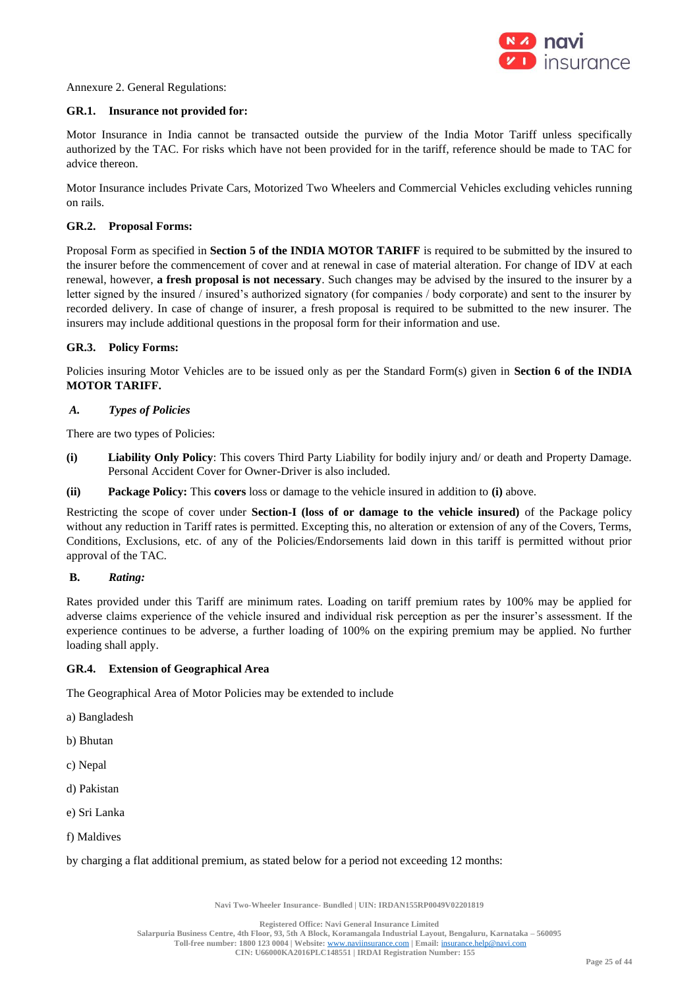

Annexure 2. General Regulations:

## **GR.1. Insurance not provided for:**

Motor Insurance in India cannot be transacted outside the purview of the India Motor Tariff unless specifically authorized by the TAC. For risks which have not been provided for in the tariff, reference should be made to TAC for advice thereon.

Motor Insurance includes Private Cars, Motorized Two Wheelers and Commercial Vehicles excluding vehicles running on rails.

### **GR.2. Proposal Forms:**

Proposal Form as specified in **Section 5 of the INDIA MOTOR TARIFF** is required to be submitted by the insured to the insurer before the commencement of cover and at renewal in case of material alteration. For change of IDV at each renewal, however, **a fresh proposal is not necessary**. Such changes may be advised by the insured to the insurer by a letter signed by the insured / insured's authorized signatory (for companies / body corporate) and sent to the insurer by recorded delivery. In case of change of insurer, a fresh proposal is required to be submitted to the new insurer. The insurers may include additional questions in the proposal form for their information and use.

### **GR.3. Policy Forms:**

Policies insuring Motor Vehicles are to be issued only as per the Standard Form(s) given in **Section 6 of the INDIA MOTOR TARIFF.**

## *A. Types of Policies*

There are two types of Policies:

- **(i) Liability Only Policy**: This covers Third Party Liability for bodily injury and/ or death and Property Damage. Personal Accident Cover for Owner-Driver is also included.
- **(ii) Package Policy:** This **covers** loss or damage to the vehicle insured in addition to **(i)** above.

Restricting the scope of cover under **Section-I (loss of or damage to the vehicle insured)** of the Package policy without any reduction in Tariff rates is permitted. Excepting this, no alteration or extension of any of the Covers, Terms, Conditions, Exclusions, etc. of any of the Policies/Endorsements laid down in this tariff is permitted without prior approval of the TAC.

#### **B.** *Rating:*

Rates provided under this Tariff are minimum rates. Loading on tariff premium rates by 100% may be applied for adverse claims experience of the vehicle insured and individual risk perception as per the insurer's assessment. If the experience continues to be adverse, a further loading of 100% on the expiring premium may be applied. No further loading shall apply.

## **GR.4. Extension of Geographical Area**

The Geographical Area of Motor Policies may be extended to include

- a) Bangladesh
- b) Bhutan
- c) Nepal
- d) Pakistan
- e) Sri Lanka
- f) Maldives

by charging a flat additional premium, as stated below for a period not exceeding 12 months: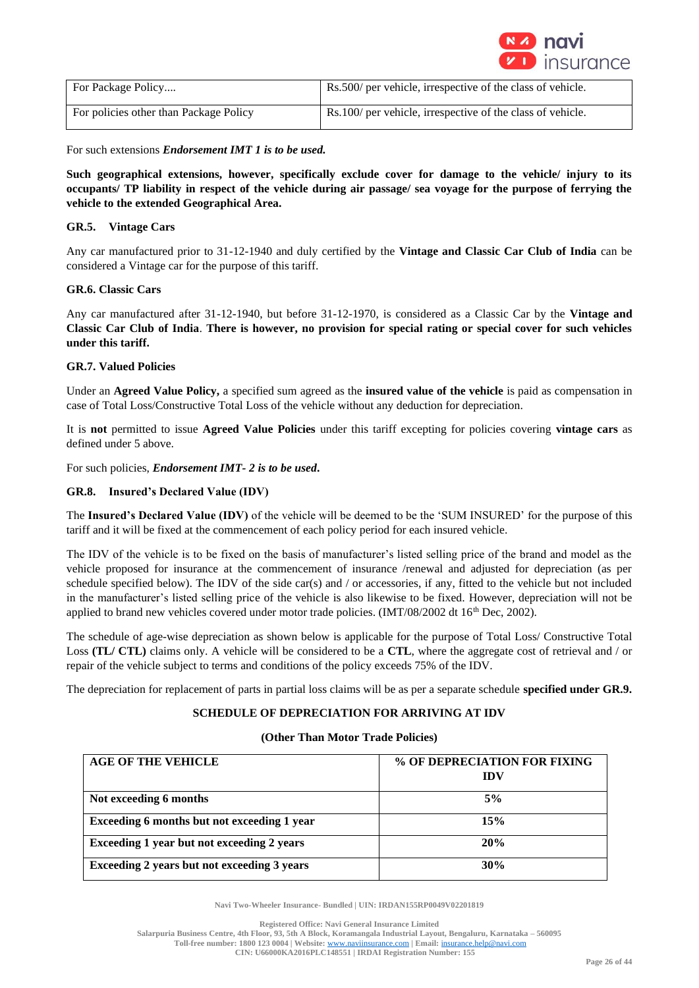

| For Package Policy                     | Rs.500/ per vehicle, irrespective of the class of vehicle. |
|----------------------------------------|------------------------------------------------------------|
| For policies other than Package Policy | Rs.100/ per vehicle, irrespective of the class of vehicle. |

For such extensions *Endorsement IMT 1 is to be used.*

**Such geographical extensions, however, specifically exclude cover for damage to the vehicle/ injury to its occupants/ TP liability in respect of the vehicle during air passage/ sea voyage for the purpose of ferrying the vehicle to the extended Geographical Area.** 

## **GR.5. Vintage Cars**

Any car manufactured prior to 31-12-1940 and duly certified by the **Vintage and Classic Car Club of India** can be considered a Vintage car for the purpose of this tariff.

### **GR.6. Classic Cars**

Any car manufactured after 31-12-1940, but before 31-12-1970, is considered as a Classic Car by the **Vintage and Classic Car Club of India**. **There is however, no provision for special rating or special cover for such vehicles under this tariff.**

### **GR.7. Valued Policies**

Under an **Agreed Value Policy,** a specified sum agreed as the **insured value of the vehicle** is paid as compensation in case of Total Loss/Constructive Total Loss of the vehicle without any deduction for depreciation.

It is **not** permitted to issue **Agreed Value Policies** under this tariff excepting for policies covering **vintage cars** as defined under 5 above.

For such policies, *Endorsement IMT- 2 is to be used***.**

### **GR.8. Insured's Declared Value (IDV)**

The **Insured's Declared Value (IDV)** of the vehicle will be deemed to be the 'SUM INSURED' for the purpose of this tariff and it will be fixed at the commencement of each policy period for each insured vehicle.

The IDV of the vehicle is to be fixed on the basis of manufacturer's listed selling price of the brand and model as the vehicle proposed for insurance at the commencement of insurance /renewal and adjusted for depreciation (as per schedule specified below). The IDV of the side car(s) and / or accessories, if any, fitted to the vehicle but not included in the manufacturer's listed selling price of the vehicle is also likewise to be fixed. However, depreciation will not be applied to brand new vehicles covered under motor trade policies. (IMT/08/2002 dt  $16<sup>th</sup>$  Dec, 2002).

The schedule of age-wise depreciation as shown below is applicable for the purpose of Total Loss/ Constructive Total Loss **(TL/ CTL)** claims only. A vehicle will be considered to be a **CTL**, where the aggregate cost of retrieval and / or repair of the vehicle subject to terms and conditions of the policy exceeds 75% of the IDV.

The depreciation for replacement of parts in partial loss claims will be as per a separate schedule **specified under GR.9.** 

## **SCHEDULE OF DEPRECIATION FOR ARRIVING AT IDV**

### **(Other Than Motor Trade Policies)**

| <b>AGE OF THE VEHICLE</b>                   | % OF DEPRECIATION FOR FIXING<br><b>IDV</b> |
|---------------------------------------------|--------------------------------------------|
| Not exceeding 6 months                      | 5%                                         |
| Exceeding 6 months but not exceeding 1 year | 15%                                        |
| Exceeding 1 year but not exceeding 2 years  | 20%                                        |
| Exceeding 2 years but not exceeding 3 years | 30%                                        |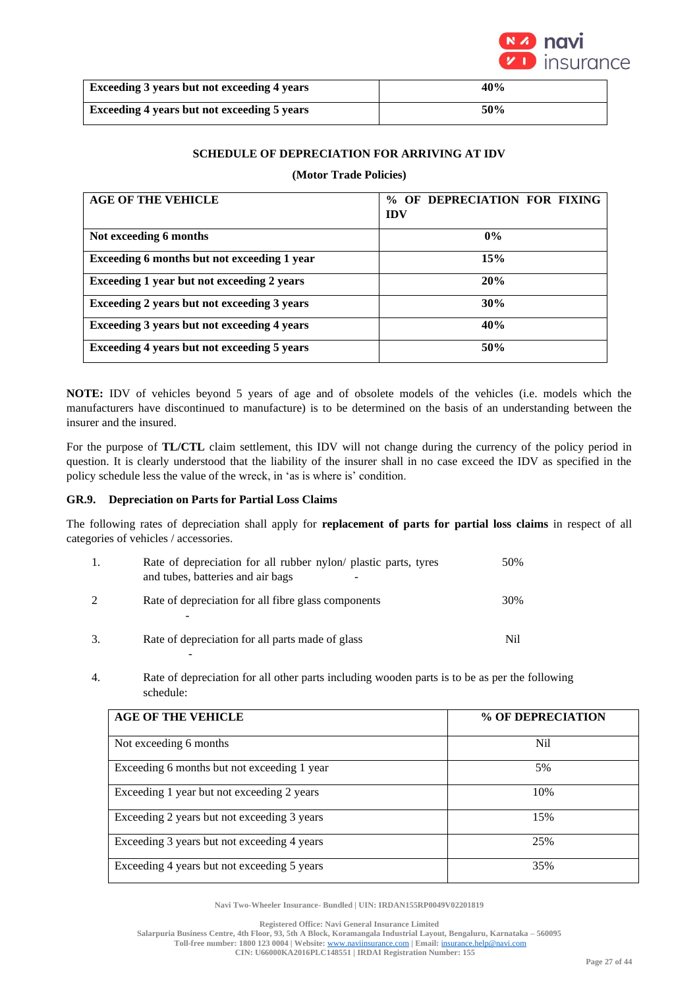

| Exceeding 3 years but not exceeding 4 years | 40% |
|---------------------------------------------|-----|
| Exceeding 4 years but not exceeding 5 years | 50% |

## **SCHEDULE OF DEPRECIATION FOR ARRIVING AT IDV**

## **(Motor Trade Policies)**

| <b>AGE OF THE VEHICLE</b>                   | OF DEPRECIATION FOR FIXING<br>$\frac{0}{0}$<br><b>IDV</b> |
|---------------------------------------------|-----------------------------------------------------------|
| Not exceeding 6 months                      | $0\%$                                                     |
| Exceeding 6 months but not exceeding 1 year | 15%                                                       |
| Exceeding 1 year but not exceeding 2 years  | 20%                                                       |
| Exceeding 2 years but not exceeding 3 years | 30%                                                       |
| Exceeding 3 years but not exceeding 4 years | 40%                                                       |
| Exceeding 4 years but not exceeding 5 years | 50%                                                       |

**NOTE:** IDV of vehicles beyond 5 years of age and of obsolete models of the vehicles (i.e. models which the manufacturers have discontinued to manufacture) is to be determined on the basis of an understanding between the insurer and the insured.

For the purpose of **TL/CTL** claim settlement, this IDV will not change during the currency of the policy period in question. It is clearly understood that the liability of the insurer shall in no case exceed the IDV as specified in the policy schedule less the value of the wreck, in 'as is where is' condition.

## **GR.9. Depreciation on Parts for Partial Loss Claims**

The following rates of depreciation shall apply for **replacement of parts for partial loss claims** in respect of all categories of vehicles / accessories.

|    | Rate of depreciation for all rubber nylon/ plastic parts, tyres<br>and tubes, batteries and air bags | 50% |
|----|------------------------------------------------------------------------------------------------------|-----|
|    | Rate of depreciation for all fibre glass components                                                  | 30% |
| 3. | Rate of depreciation for all parts made of glass                                                     | Nil |

4. Rate of depreciation for all other parts including wooden parts is to be as per the following schedule:

| <b>AGE OF THE VEHICLE</b>                   | % OF DEPRECIATION |
|---------------------------------------------|-------------------|
| Not exceeding 6 months                      | Nil               |
| Exceeding 6 months but not exceeding 1 year | 5%                |
| Exceeding 1 year but not exceeding 2 years  | 10%               |
| Exceeding 2 years but not exceeding 3 years | 15%               |
| Exceeding 3 years but not exceeding 4 years | 25%               |
| Exceeding 4 years but not exceeding 5 years | 35%               |

**Navi Two-Wheeler Insurance- Bundled | UIN: IRDAN155RP0049V02201819**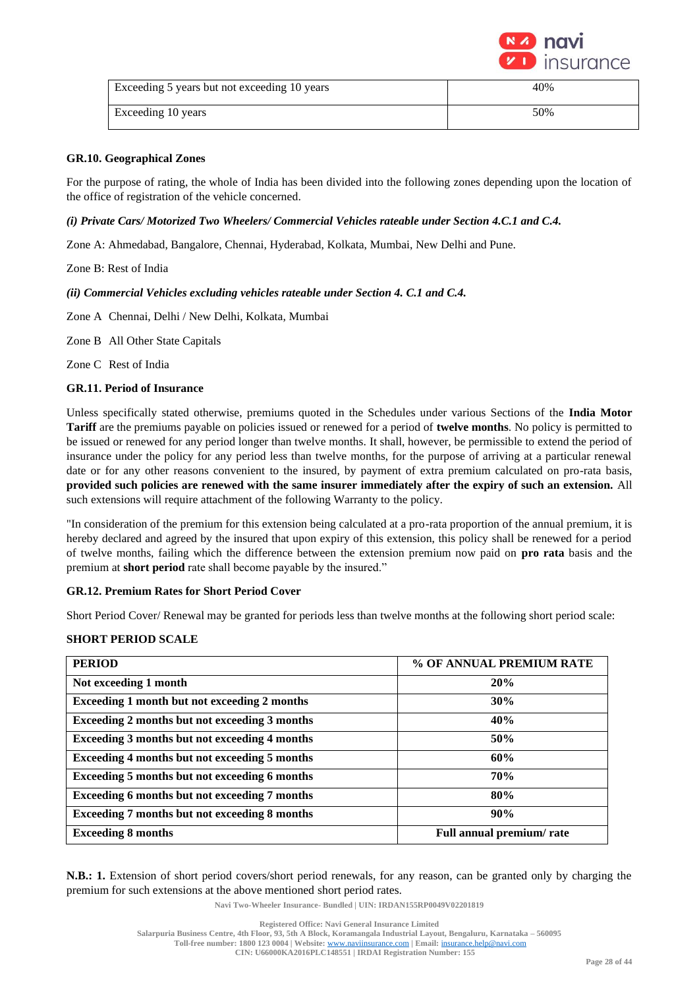

| Exceeding 5 years but not exceeding 10 years | 40% |
|----------------------------------------------|-----|
| Exceeding 10 years                           | 50% |

### **GR.10. Geographical Zones**

For the purpose of rating, the whole of India has been divided into the following zones depending upon the location of the office of registration of the vehicle concerned.

### *(i) Private Cars/ Motorized Two Wheelers/ Commercial Vehicles rateable under Section 4.C.1 and C.4.*

Zone A: Ahmedabad, Bangalore, Chennai, Hyderabad, Kolkata, Mumbai, New Delhi and Pune.

Zone B: Rest of India

#### *(ii) Commercial Vehicles excluding vehicles rateable under Section 4. C.1 and C.4.*

Zone A Chennai, Delhi / New Delhi, Kolkata, Mumbai

Zone B All Other State Capitals

Zone C Rest of India

### **GR.11. Period of Insurance**

Unless specifically stated otherwise, premiums quoted in the Schedules under various Sections of the **India Motor Tariff** are the premiums payable on policies issued or renewed for a period of **twelve months**. No policy is permitted to be issued or renewed for any period longer than twelve months. It shall, however, be permissible to extend the period of insurance under the policy for any period less than twelve months, for the purpose of arriving at a particular renewal date or for any other reasons convenient to the insured, by payment of extra premium calculated on pro-rata basis, **provided such policies are renewed with the same insurer immediately after the expiry of such an extension.** All such extensions will require attachment of the following Warranty to the policy.

"In consideration of the premium for this extension being calculated at a pro-rata proportion of the annual premium, it is hereby declared and agreed by the insured that upon expiry of this extension, this policy shall be renewed for a period of twelve months, failing which the difference between the extension premium now paid on **pro rata** basis and the premium at **short period** rate shall become payable by the insured."

#### **GR.12. Premium Rates for Short Period Cover**

Short Period Cover/ Renewal may be granted for periods less than twelve months at the following short period scale:

### **SHORT PERIOD SCALE**

| <b>PERIOD</b>                                        | % OF ANNUAL PREMIUM RATE |
|------------------------------------------------------|--------------------------|
| Not exceeding 1 month                                | 20%                      |
| <b>Exceeding 1 month but not exceeding 2 months</b>  | 30%                      |
| <b>Exceeding 2 months but not exceeding 3 months</b> | 40%                      |
| Exceeding 3 months but not exceeding 4 months        | 50%                      |
| <b>Exceeding 4 months but not exceeding 5 months</b> | 60%                      |
| Exceeding 5 months but not exceeding 6 months        | <b>70%</b>               |
| <b>Exceeding 6 months but not exceeding 7 months</b> | 80%                      |
| <b>Exceeding 7 months but not exceeding 8 months</b> | 90%                      |
| <b>Exceeding 8 months</b>                            | Full annual premium/rate |

**N.B.: 1.** Extension of short period covers/short period renewals, for any reason, can be granted only by charging the premium for such extensions at the above mentioned short period rates.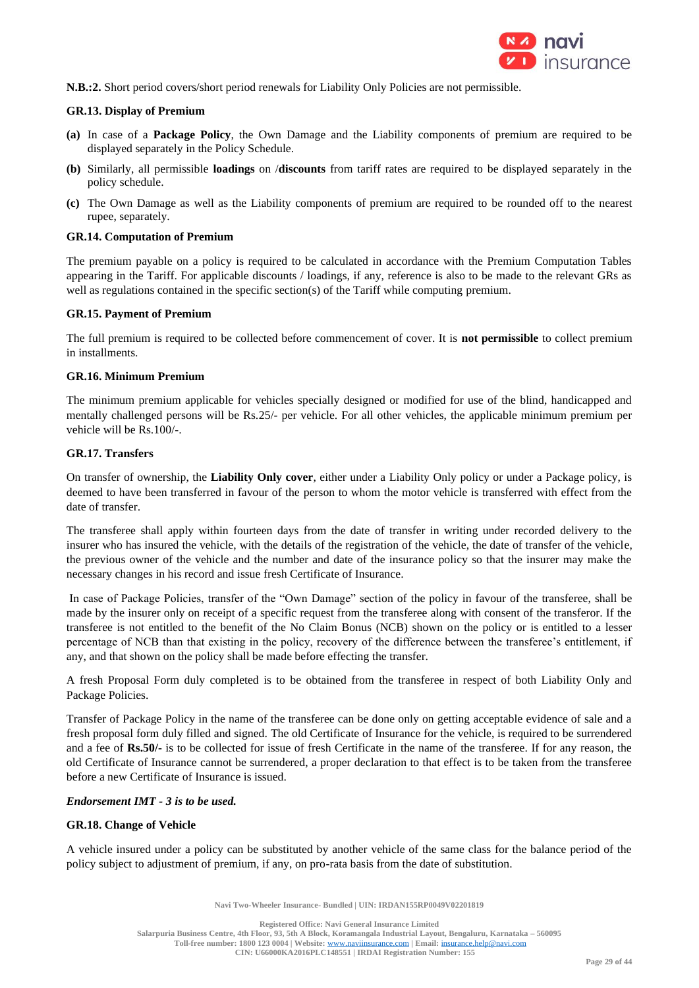

**N.B.:2.** Short period covers/short period renewals for Liability Only Policies are not permissible.

## **GR.13. Display of Premium**

- **(a)** In case of a **Package Policy**, the Own Damage and the Liability components of premium are required to be displayed separately in the Policy Schedule.
- **(b)** Similarly, all permissible **loadings** on /**discounts** from tariff rates are required to be displayed separately in the policy schedule.
- **(c)** The Own Damage as well as the Liability components of premium are required to be rounded off to the nearest rupee, separately.

## **GR.14. Computation of Premium**

The premium payable on a policy is required to be calculated in accordance with the Premium Computation Tables appearing in the Tariff. For applicable discounts / loadings, if any, reference is also to be made to the relevant GRs as well as regulations contained in the specific section(s) of the Tariff while computing premium.

## **GR.15. Payment of Premium**

The full premium is required to be collected before commencement of cover. It is **not permissible** to collect premium in installments.

## **GR.16. Minimum Premium**

The minimum premium applicable for vehicles specially designed or modified for use of the blind, handicapped and mentally challenged persons will be Rs.25/- per vehicle. For all other vehicles, the applicable minimum premium per vehicle will be Rs.100/-.

## **GR.17. Transfers**

On transfer of ownership, the **Liability Only cover**, either under a Liability Only policy or under a Package policy, is deemed to have been transferred in favour of the person to whom the motor vehicle is transferred with effect from the date of transfer.

The transferee shall apply within fourteen days from the date of transfer in writing under recorded delivery to the insurer who has insured the vehicle, with the details of the registration of the vehicle, the date of transfer of the vehicle, the previous owner of the vehicle and the number and date of the insurance policy so that the insurer may make the necessary changes in his record and issue fresh Certificate of Insurance.

In case of Package Policies, transfer of the "Own Damage" section of the policy in favour of the transferee, shall be made by the insurer only on receipt of a specific request from the transferee along with consent of the transferor. If the transferee is not entitled to the benefit of the No Claim Bonus (NCB) shown on the policy or is entitled to a lesser percentage of NCB than that existing in the policy, recovery of the difference between the transferee's entitlement, if any, and that shown on the policy shall be made before effecting the transfer.

A fresh Proposal Form duly completed is to be obtained from the transferee in respect of both Liability Only and Package Policies.

Transfer of Package Policy in the name of the transferee can be done only on getting acceptable evidence of sale and a fresh proposal form duly filled and signed. The old Certificate of Insurance for the vehicle, is required to be surrendered and a fee of **Rs.50/-** is to be collected for issue of fresh Certificate in the name of the transferee. If for any reason, the old Certificate of Insurance cannot be surrendered, a proper declaration to that effect is to be taken from the transferee before a new Certificate of Insurance is issued.

## *Endorsement IMT - 3 is to be used.*

## **GR.18. Change of Vehicle**

A vehicle insured under a policy can be substituted by another vehicle of the same class for the balance period of the policy subject to adjustment of premium, if any, on pro-rata basis from the date of substitution.

**Navi Two-Wheeler Insurance- Bundled | UIN: IRDAN155RP0049V02201819**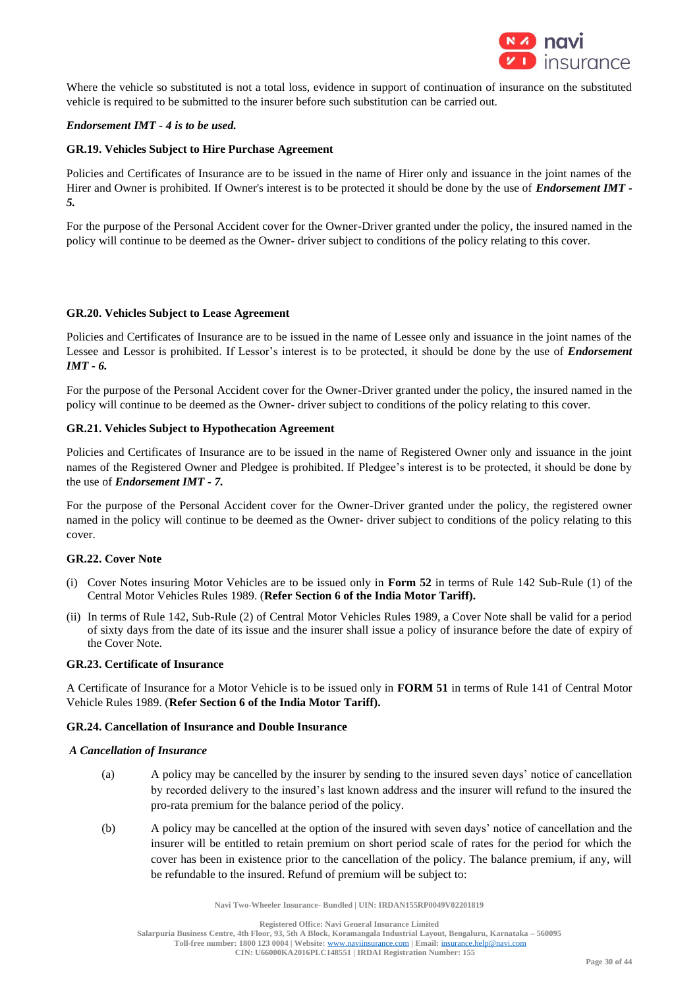

Where the vehicle so substituted is not a total loss, evidence in support of continuation of insurance on the substituted vehicle is required to be submitted to the insurer before such substitution can be carried out.

## *Endorsement IMT - 4 is to be used.*

### **GR.19. Vehicles Subject to Hire Purchase Agreement**

Policies and Certificates of Insurance are to be issued in the name of Hirer only and issuance in the joint names of the Hirer and Owner is prohibited. If Owner's interest is to be protected it should be done by the use of *Endorsement IMT - 5.*

For the purpose of the Personal Accident cover for the Owner-Driver granted under the policy, the insured named in the policy will continue to be deemed as the Owner- driver subject to conditions of the policy relating to this cover.

#### **GR.20. Vehicles Subject to Lease Agreement**

Policies and Certificates of Insurance are to be issued in the name of Lessee only and issuance in the joint names of the Lessee and Lessor is prohibited. If Lessor's interest is to be protected, it should be done by the use of *Endorsement IMT - 6.*

For the purpose of the Personal Accident cover for the Owner-Driver granted under the policy, the insured named in the policy will continue to be deemed as the Owner- driver subject to conditions of the policy relating to this cover.

### **GR.21. Vehicles Subject to Hypothecation Agreement**

Policies and Certificates of Insurance are to be issued in the name of Registered Owner only and issuance in the joint names of the Registered Owner and Pledgee is prohibited. If Pledgee's interest is to be protected, it should be done by the use of *Endorsement IMT - 7.* 

For the purpose of the Personal Accident cover for the Owner-Driver granted under the policy, the registered owner named in the policy will continue to be deemed as the Owner- driver subject to conditions of the policy relating to this cover.

### **GR.22. Cover Note**

- (i) Cover Notes insuring Motor Vehicles are to be issued only in **Form 52** in terms of Rule 142 Sub-Rule (1) of the Central Motor Vehicles Rules 1989. (**Refer Section 6 of the India Motor Tariff).**
- (ii) In terms of Rule 142, Sub-Rule (2) of Central Motor Vehicles Rules 1989, a Cover Note shall be valid for a period of sixty days from the date of its issue and the insurer shall issue a policy of insurance before the date of expiry of the Cover Note.

### **GR.23. Certificate of Insurance**

A Certificate of Insurance for a Motor Vehicle is to be issued only in **FORM 51** in terms of Rule 141 of Central Motor Vehicle Rules 1989. (**Refer Section 6 of the India Motor Tariff).**

#### **GR.24. Cancellation of Insurance and Double Insurance**

### *A Cancellation of Insurance*

- (a) A policy may be cancelled by the insurer by sending to the insured seven days' notice of cancellation by recorded delivery to the insured's last known address and the insurer will refund to the insured the pro-rata premium for the balance period of the policy.
- (b) A policy may be cancelled at the option of the insured with seven days' notice of cancellation and the insurer will be entitled to retain premium on short period scale of rates for the period for which the cover has been in existence prior to the cancellation of the policy. The balance premium, if any, will be refundable to the insured. Refund of premium will be subject to:

**Navi Two-Wheeler Insurance- Bundled | UIN: IRDAN155RP0049V02201819**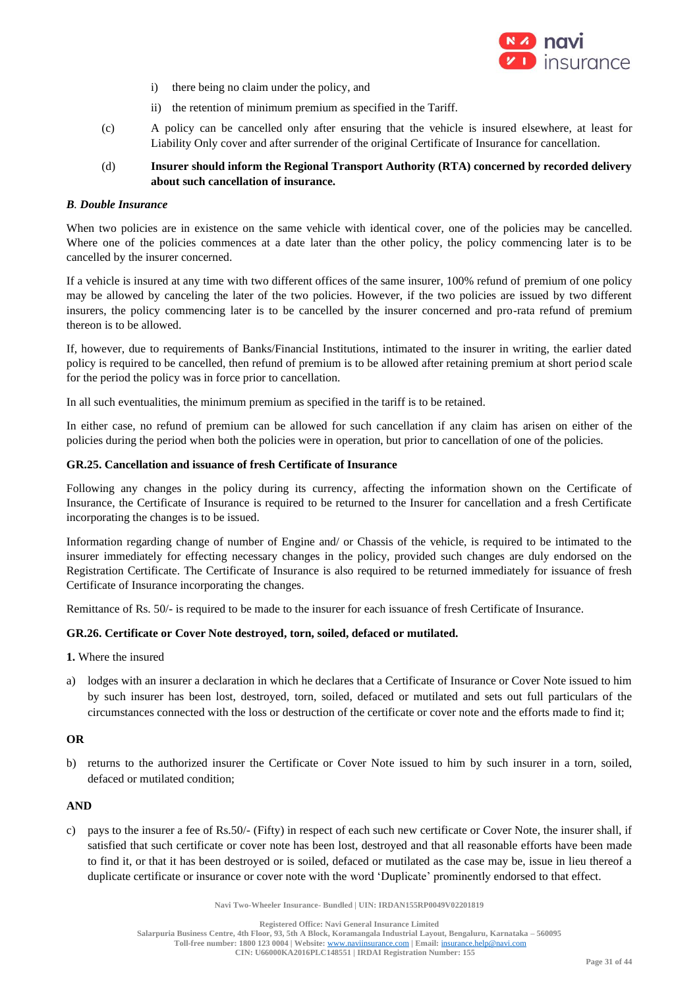

- i) there being no claim under the policy, and
- ii) the retention of minimum premium as specified in the Tariff.
- (c) A policy can be cancelled only after ensuring that the vehicle is insured elsewhere, at least for Liability Only cover and after surrender of the original Certificate of Insurance for cancellation.
- (d) **Insurer should inform the Regional Transport Authority (RTA) concerned by recorded delivery about such cancellation of insurance.**

## *B. Double Insurance*

When two policies are in existence on the same vehicle with identical cover, one of the policies may be cancelled. Where one of the policies commences at a date later than the other policy, the policy commencing later is to be cancelled by the insurer concerned.

If a vehicle is insured at any time with two different offices of the same insurer, 100% refund of premium of one policy may be allowed by canceling the later of the two policies. However, if the two policies are issued by two different insurers, the policy commencing later is to be cancelled by the insurer concerned and pro-rata refund of premium thereon is to be allowed.

If, however, due to requirements of Banks/Financial Institutions, intimated to the insurer in writing, the earlier dated policy is required to be cancelled, then refund of premium is to be allowed after retaining premium at short period scale for the period the policy was in force prior to cancellation.

In all such eventualities, the minimum premium as specified in the tariff is to be retained.

In either case, no refund of premium can be allowed for such cancellation if any claim has arisen on either of the policies during the period when both the policies were in operation, but prior to cancellation of one of the policies.

### **GR.25. Cancellation and issuance of fresh Certificate of Insurance**

Following any changes in the policy during its currency, affecting the information shown on the Certificate of Insurance, the Certificate of Insurance is required to be returned to the Insurer for cancellation and a fresh Certificate incorporating the changes is to be issued.

Information regarding change of number of Engine and/ or Chassis of the vehicle, is required to be intimated to the insurer immediately for effecting necessary changes in the policy, provided such changes are duly endorsed on the Registration Certificate. The Certificate of Insurance is also required to be returned immediately for issuance of fresh Certificate of Insurance incorporating the changes.

Remittance of Rs. 50/- is required to be made to the insurer for each issuance of fresh Certificate of Insurance.

## **GR.26. Certificate or Cover Note destroyed, torn, soiled, defaced or mutilated.**

- **1.** Where the insured
- a) lodges with an insurer a declaration in which he declares that a Certificate of Insurance or Cover Note issued to him by such insurer has been lost, destroyed, torn, soiled, defaced or mutilated and sets out full particulars of the circumstances connected with the loss or destruction of the certificate or cover note and the efforts made to find it;

## **OR**

b) returns to the authorized insurer the Certificate or Cover Note issued to him by such insurer in a torn, soiled, defaced or mutilated condition;

## **AND**

c) pays to the insurer a fee of Rs.50/- (Fifty) in respect of each such new certificate or Cover Note, the insurer shall, if satisfied that such certificate or cover note has been lost, destroyed and that all reasonable efforts have been made to find it, or that it has been destroyed or is soiled, defaced or mutilated as the case may be, issue in lieu thereof a duplicate certificate or insurance or cover note with the word 'Duplicate' prominently endorsed to that effect.

**Navi Two-Wheeler Insurance- Bundled | UIN: IRDAN155RP0049V02201819**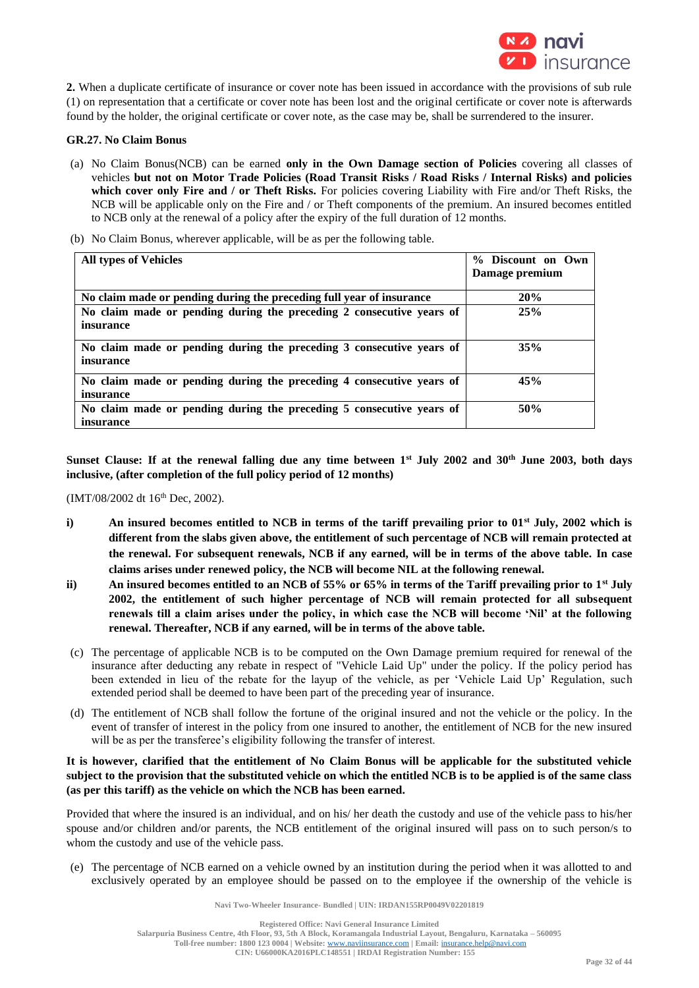

**2.** When a duplicate certificate of insurance or cover note has been issued in accordance with the provisions of sub rule (1) on representation that a certificate or cover note has been lost and the original certificate or cover note is afterwards found by the holder, the original certificate or cover note, as the case may be, shall be surrendered to the insurer.

### **GR.27. No Claim Bonus**

- (a) No Claim Bonus(NCB) can be earned **only in the Own Damage section of Policies** covering all classes of vehicles **but not on Motor Trade Policies (Road Transit Risks / Road Risks / Internal Risks) and policies which cover only Fire and / or Theft Risks.** For policies covering Liability with Fire and/or Theft Risks, the NCB will be applicable only on the Fire and / or Theft components of the premium. An insured becomes entitled to NCB only at the renewal of a policy after the expiry of the full duration of 12 months.
- (b) No Claim Bonus, wherever applicable, will be as per the following table.

| <b>All types of Vehicles</b>                                                             | % Discount on Own |
|------------------------------------------------------------------------------------------|-------------------|
|                                                                                          | Damage premium    |
| No claim made or pending during the preceding full year of insurance                     | 20%               |
| No claim made or pending during the preceding 2 consecutive years of<br>insurance        | 25%               |
| No claim made or pending during the preceding 3 consecutive years of<br><i>insurance</i> | 35%               |
| No claim made or pending during the preceding 4 consecutive years of<br><i>insurance</i> | 45%               |
| No claim made or pending during the preceding 5 consecutive years of<br>insurance        | 50%               |

**Sunset Clause: If at the renewal falling due any time between 1st July 2002 and 30th June 2003, both days inclusive, (after completion of the full policy period of 12 months)**

(IMT/08/2002 dt 16<sup>th</sup> Dec, 2002).

- **i) An insured becomes entitled to NCB in terms of the tariff prevailing prior to 01st July, 2002 which is different from the slabs given above, the entitlement of such percentage of NCB will remain protected at the renewal. For subsequent renewals, NCB if any earned, will be in terms of the above table. In case claims arises under renewed policy, the NCB will become NIL at the following renewal.**
- **ii) An insured becomes entitled to an NCB of 55% or 65% in terms of the Tariff prevailing prior to 1st July 2002, the entitlement of such higher percentage of NCB will remain protected for all subsequent renewals till a claim arises under the policy, in which case the NCB will become 'Nil' at the following renewal. Thereafter, NCB if any earned, will be in terms of the above table.**
- (c) The percentage of applicable NCB is to be computed on the Own Damage premium required for renewal of the insurance after deducting any rebate in respect of "Vehicle Laid Up" under the policy. If the policy period has been extended in lieu of the rebate for the layup of the vehicle, as per 'Vehicle Laid Up' Regulation, such extended period shall be deemed to have been part of the preceding year of insurance.
- (d) The entitlement of NCB shall follow the fortune of the original insured and not the vehicle or the policy. In the event of transfer of interest in the policy from one insured to another, the entitlement of NCB for the new insured will be as per the transferee's eligibility following the transfer of interest.

## **It is however, clarified that the entitlement of No Claim Bonus will be applicable for the substituted vehicle subject to the provision that the substituted vehicle on which the entitled NCB is to be applied is of the same class (as per this tariff) as the vehicle on which the NCB has been earned.**

Provided that where the insured is an individual, and on his/ her death the custody and use of the vehicle pass to his/her spouse and/or children and/or parents, the NCB entitlement of the original insured will pass on to such person/s to whom the custody and use of the vehicle pass.

(e) The percentage of NCB earned on a vehicle owned by an institution during the period when it was allotted to and exclusively operated by an employee should be passed on to the employee if the ownership of the vehicle is

**Navi Two-Wheeler Insurance- Bundled | UIN: IRDAN155RP0049V02201819**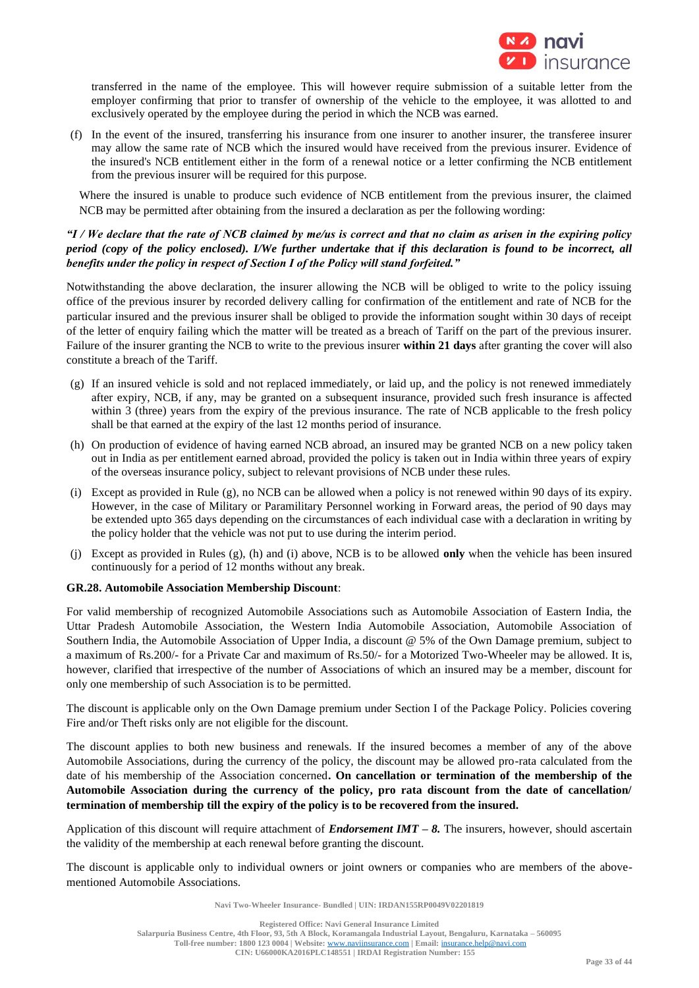

transferred in the name of the employee. This will however require submission of a suitable letter from the employer confirming that prior to transfer of ownership of the vehicle to the employee, it was allotted to and exclusively operated by the employee during the period in which the NCB was earned.

(f) In the event of the insured, transferring his insurance from one insurer to another insurer, the transferee insurer may allow the same rate of NCB which the insured would have received from the previous insurer. Evidence of the insured's NCB entitlement either in the form of a renewal notice or a letter confirming the NCB entitlement from the previous insurer will be required for this purpose.

Where the insured is unable to produce such evidence of NCB entitlement from the previous insurer, the claimed NCB may be permitted after obtaining from the insured a declaration as per the following wording:

## *"I / We declare that the rate of NCB claimed by me/us is correct and that no claim as arisen in the expiring policy period (copy of the policy enclosed). I/We further undertake that if this declaration is found to be incorrect, all benefits under the policy in respect of Section I of the Policy will stand forfeited."*

Notwithstanding the above declaration, the insurer allowing the NCB will be obliged to write to the policy issuing office of the previous insurer by recorded delivery calling for confirmation of the entitlement and rate of NCB for the particular insured and the previous insurer shall be obliged to provide the information sought within 30 days of receipt of the letter of enquiry failing which the matter will be treated as a breach of Tariff on the part of the previous insurer. Failure of the insurer granting the NCB to write to the previous insurer **within 21 days** after granting the cover will also constitute a breach of the Tariff.

- (g) If an insured vehicle is sold and not replaced immediately, or laid up, and the policy is not renewed immediately after expiry, NCB, if any, may be granted on a subsequent insurance, provided such fresh insurance is affected within 3 (three) years from the expiry of the previous insurance. The rate of NCB applicable to the fresh policy shall be that earned at the expiry of the last 12 months period of insurance.
- (h) On production of evidence of having earned NCB abroad, an insured may be granted NCB on a new policy taken out in India as per entitlement earned abroad, provided the policy is taken out in India within three years of expiry of the overseas insurance policy, subject to relevant provisions of NCB under these rules.
- (i) Except as provided in Rule (g), no NCB can be allowed when a policy is not renewed within 90 days of its expiry. However, in the case of Military or Paramilitary Personnel working in Forward areas, the period of 90 days may be extended upto 365 days depending on the circumstances of each individual case with a declaration in writing by the policy holder that the vehicle was not put to use during the interim period.
- (j) Except as provided in Rules (g), (h) and (i) above, NCB is to be allowed **only** when the vehicle has been insured continuously for a period of 12 months without any break.

## **GR.28. Automobile Association Membership Discount**:

For valid membership of recognized Automobile Associations such as Automobile Association of Eastern India, the Uttar Pradesh Automobile Association, the Western India Automobile Association, Automobile Association of Southern India, the Automobile Association of Upper India, a discount @ 5% of the Own Damage premium, subject to a maximum of Rs.200/- for a Private Car and maximum of Rs.50/- for a Motorized Two-Wheeler may be allowed. It is, however, clarified that irrespective of the number of Associations of which an insured may be a member, discount for only one membership of such Association is to be permitted.

The discount is applicable only on the Own Damage premium under Section I of the Package Policy. Policies covering Fire and/or Theft risks only are not eligible for the discount.

The discount applies to both new business and renewals. If the insured becomes a member of any of the above Automobile Associations, during the currency of the policy, the discount may be allowed pro-rata calculated from the date of his membership of the Association concerned**. On cancellation or termination of the membership of the Automobile Association during the currency of the policy, pro rata discount from the date of cancellation/ termination of membership till the expiry of the policy is to be recovered from the insured.**

Application of this discount will require attachment of *Endorsement IMT – 8.* The insurers, however, should ascertain the validity of the membership at each renewal before granting the discount.

The discount is applicable only to individual owners or joint owners or companies who are members of the abovementioned Automobile Associations.

**Navi Two-Wheeler Insurance- Bundled | UIN: IRDAN155RP0049V02201819**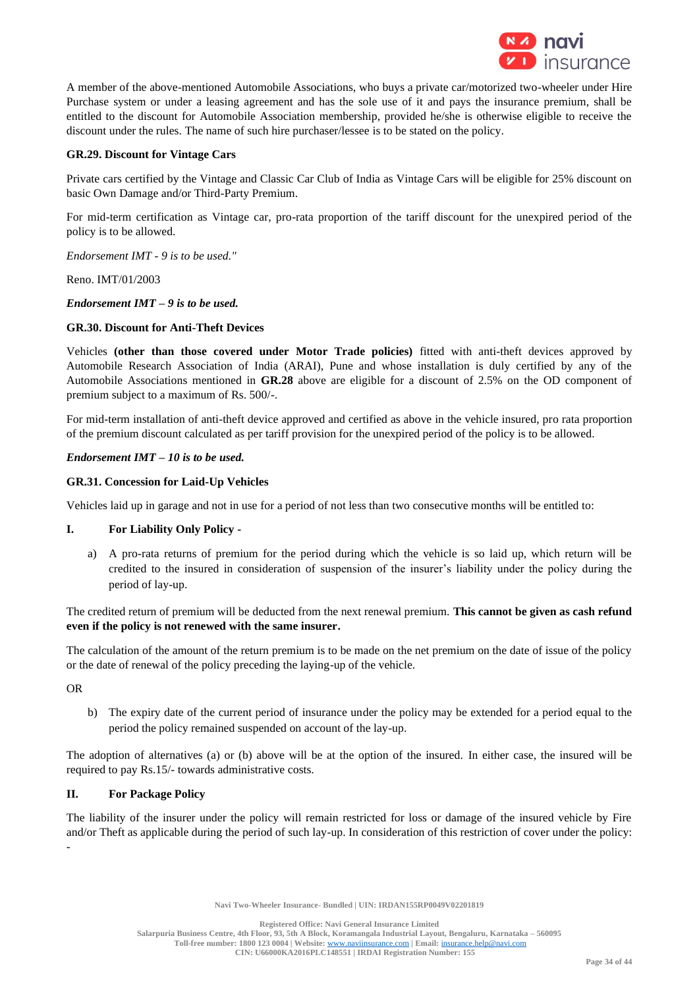

A member of the above-mentioned Automobile Associations, who buys a private car/motorized two-wheeler under Hire Purchase system or under a leasing agreement and has the sole use of it and pays the insurance premium, shall be entitled to the discount for Automobile Association membership, provided he/she is otherwise eligible to receive the discount under the rules. The name of such hire purchaser/lessee is to be stated on the policy.

## **GR.29. Discount for Vintage Cars**

Private cars certified by the Vintage and Classic Car Club of India as Vintage Cars will be eligible for 25% discount on basic Own Damage and/or Third-Party Premium.

For mid-term certification as Vintage car, pro-rata proportion of the tariff discount for the unexpired period of the policy is to be allowed.

*Endorsement IMT - 9 is to be used."*

Reno. IMT/01/2003

*Endorsement IMT – 9 is to be used.*

## **GR.30. Discount for Anti-Theft Devices**

Vehicles **(other than those covered under Motor Trade policies)** fitted with anti-theft devices approved by Automobile Research Association of India (ARAI), Pune and whose installation is duly certified by any of the Automobile Associations mentioned in **GR.28** above are eligible for a discount of 2.5% on the OD component of premium subject to a maximum of Rs. 500/-.

For mid-term installation of anti-theft device approved and certified as above in the vehicle insured, pro rata proportion of the premium discount calculated as per tariff provision for the unexpired period of the policy is to be allowed.

## *Endorsement IMT – 10 is to be used.*

## **GR.31. Concession for Laid-Up Vehicles**

Vehicles laid up in garage and not in use for a period of not less than two consecutive months will be entitled to:

## **I. For Liability Only Policy -**

a) A pro-rata returns of premium for the period during which the vehicle is so laid up, which return will be credited to the insured in consideration of suspension of the insurer's liability under the policy during the period of lay-up.

The credited return of premium will be deducted from the next renewal premium. **This cannot be given as cash refund even if the policy is not renewed with the same insurer.**

The calculation of the amount of the return premium is to be made on the net premium on the date of issue of the policy or the date of renewal of the policy preceding the laying-up of the vehicle.

OR

b) The expiry date of the current period of insurance under the policy may be extended for a period equal to the period the policy remained suspended on account of the lay-up.

The adoption of alternatives (a) or (b) above will be at the option of the insured. In either case, the insured will be required to pay Rs.15/- towards administrative costs.

## **II. For Package Policy**

The liability of the insurer under the policy will remain restricted for loss or damage of the insured vehicle by Fire and/or Theft as applicable during the period of such lay-up. In consideration of this restriction of cover under the policy: -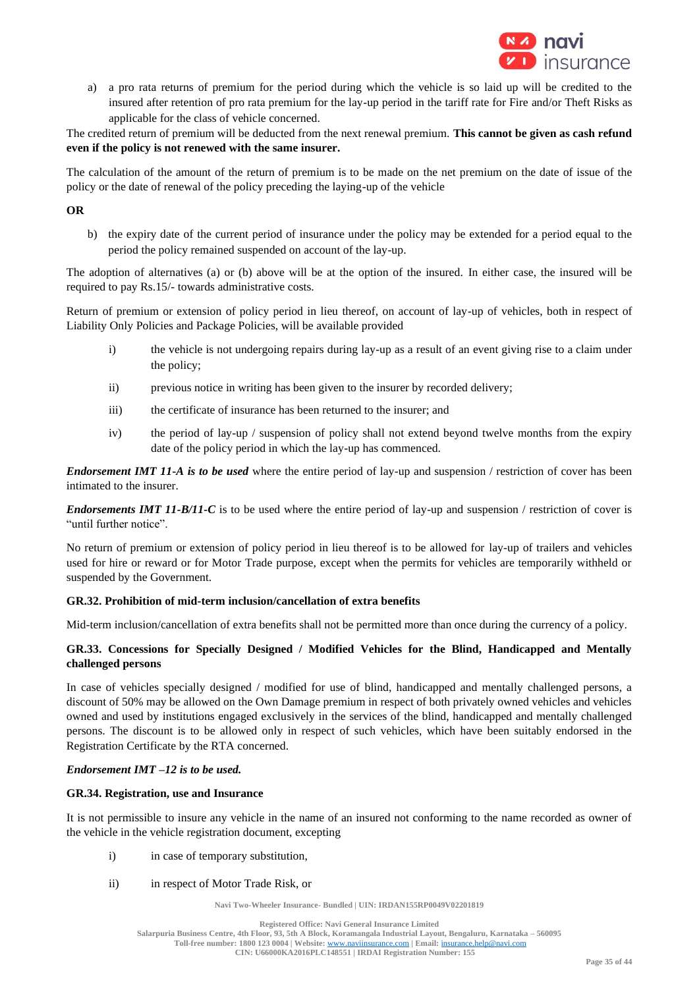

a) a pro rata returns of premium for the period during which the vehicle is so laid up will be credited to the insured after retention of pro rata premium for the lay-up period in the tariff rate for Fire and/or Theft Risks as applicable for the class of vehicle concerned.

The credited return of premium will be deducted from the next renewal premium. **This cannot be given as cash refund even if the policy is not renewed with the same insurer.**

The calculation of the amount of the return of premium is to be made on the net premium on the date of issue of the policy or the date of renewal of the policy preceding the laying-up of the vehicle

## **OR**

b) the expiry date of the current period of insurance under the policy may be extended for a period equal to the period the policy remained suspended on account of the lay-up.

The adoption of alternatives (a) or (b) above will be at the option of the insured. In either case, the insured will be required to pay Rs.15/- towards administrative costs.

Return of premium or extension of policy period in lieu thereof, on account of lay-up of vehicles, both in respect of Liability Only Policies and Package Policies, will be available provided

- i) the vehicle is not undergoing repairs during lay-up as a result of an event giving rise to a claim under the policy;
- ii) previous notice in writing has been given to the insurer by recorded delivery;
- iii) the certificate of insurance has been returned to the insurer; and
- iv) the period of lay-up / suspension of policy shall not extend beyond twelve months from the expiry date of the policy period in which the lay-up has commenced.

*Endorsement IMT 11-A is to be used* where the entire period of lay-up and suspension / restriction of cover has been intimated to the insurer.

*Endorsements IMT 11-B/11-C* is to be used where the entire period of lay-up and suspension / restriction of cover is "until further notice".

No return of premium or extension of policy period in lieu thereof is to be allowed for lay-up of trailers and vehicles used for hire or reward or for Motor Trade purpose, except when the permits for vehicles are temporarily withheld or suspended by the Government.

## **GR.32. Prohibition of mid-term inclusion/cancellation of extra benefits**

Mid-term inclusion/cancellation of extra benefits shall not be permitted more than once during the currency of a policy.

## **GR.33. Concessions for Specially Designed / Modified Vehicles for the Blind, Handicapped and Mentally challenged persons**

In case of vehicles specially designed / modified for use of blind, handicapped and mentally challenged persons, a discount of 50% may be allowed on the Own Damage premium in respect of both privately owned vehicles and vehicles owned and used by institutions engaged exclusively in the services of the blind, handicapped and mentally challenged persons. The discount is to be allowed only in respect of such vehicles, which have been suitably endorsed in the Registration Certificate by the RTA concerned.

## *Endorsement IMT –12 is to be used.*

## **GR.34. Registration, use and Insurance**

It is not permissible to insure any vehicle in the name of an insured not conforming to the name recorded as owner of the vehicle in the vehicle registration document, excepting

- i) in case of temporary substitution,
- ii) in respect of Motor Trade Risk, or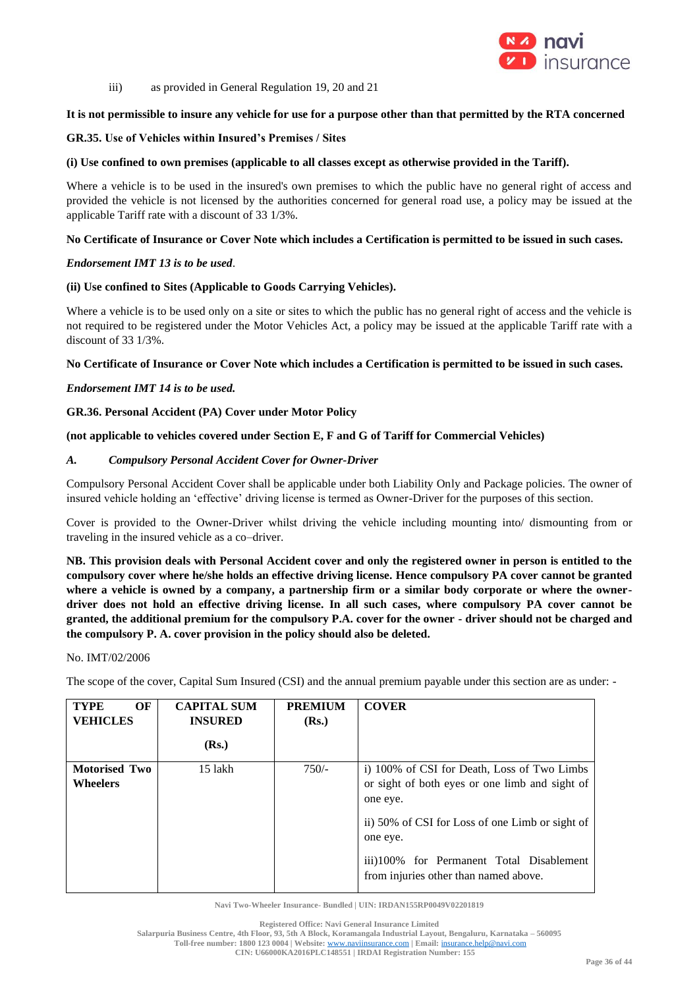

iii) as provided in General Regulation 19, 20 and 21

## **It is not permissible to insure any vehicle for use for a purpose other than that permitted by the RTA concerned**

### **GR.35. Use of Vehicles within Insured's Premises / Sites**

### **(i) Use confined to own premises (applicable to all classes except as otherwise provided in the Tariff).**

Where a vehicle is to be used in the insured's own premises to which the public have no general right of access and provided the vehicle is not licensed by the authorities concerned for general road use, a policy may be issued at the applicable Tariff rate with a discount of 33 1/3%.

### **No Certificate of Insurance or Cover Note which includes a Certification is permitted to be issued in such cases.**

### *Endorsement IMT 13 is to be used.*

### **(ii) Use confined to Sites (Applicable to Goods Carrying Vehicles).**

Where a vehicle is to be used only on a site or sites to which the public has no general right of access and the vehicle is not required to be registered under the Motor Vehicles Act, a policy may be issued at the applicable Tariff rate with a discount of 33 1/3%.

### **No Certificate of Insurance or Cover Note which includes a Certification is permitted to be issued in such cases.**

### *Endorsement IMT 14 is to be used.*

### **GR.36. Personal Accident (PA) Cover under Motor Policy**

### **(not applicable to vehicles covered under Section E, F and G of Tariff for Commercial Vehicles)**

### *A. Compulsory Personal Accident Cover for Owner-Driver*

Compulsory Personal Accident Cover shall be applicable under both Liability Only and Package policies. The owner of insured vehicle holding an 'effective' driving license is termed as Owner-Driver for the purposes of this section.

Cover is provided to the Owner-Driver whilst driving the vehicle including mounting into/ dismounting from or traveling in the insured vehicle as a co–driver.

**NB. This provision deals with Personal Accident cover and only the registered owner in person is entitled to the compulsory cover where he/she holds an effective driving license. Hence compulsory PA cover cannot be granted**  where a vehicle is owned by a company, a partnership firm or a similar body corporate or where the owner**driver does not hold an effective driving license. In all such cases, where compulsory PA cover cannot be granted, the additional premium for the compulsory P.A. cover for the owner - driver should not be charged and the compulsory P. A. cover provision in the policy should also be deleted.** 

#### No. IMT/02/2006

The scope of the cover, Capital Sum Insured (CSI) and the annual premium payable under this section are as under: -

| <b>TYPE</b><br>OF<br><b>VEHICLES</b>    | <b>CAPITAL SUM</b><br><b>INSURED</b> | <b>PREMIUM</b><br>(Rs.) | <b>COVER</b>                                                                                              |
|-----------------------------------------|--------------------------------------|-------------------------|-----------------------------------------------------------------------------------------------------------|
|                                         | (Rs.)                                |                         |                                                                                                           |
| <b>Motorised Two</b><br><b>Wheelers</b> | 15 lakh                              | $750/-$                 | i) 100% of CSI for Death, Loss of Two Limbs<br>or sight of both eyes or one limb and sight of<br>one eye. |
|                                         |                                      |                         | ii) 50% of CSI for Loss of one Limb or sight of<br>one eye.                                               |
|                                         |                                      |                         | iii)100% for Permanent Total Disablement<br>from injuries other than named above.                         |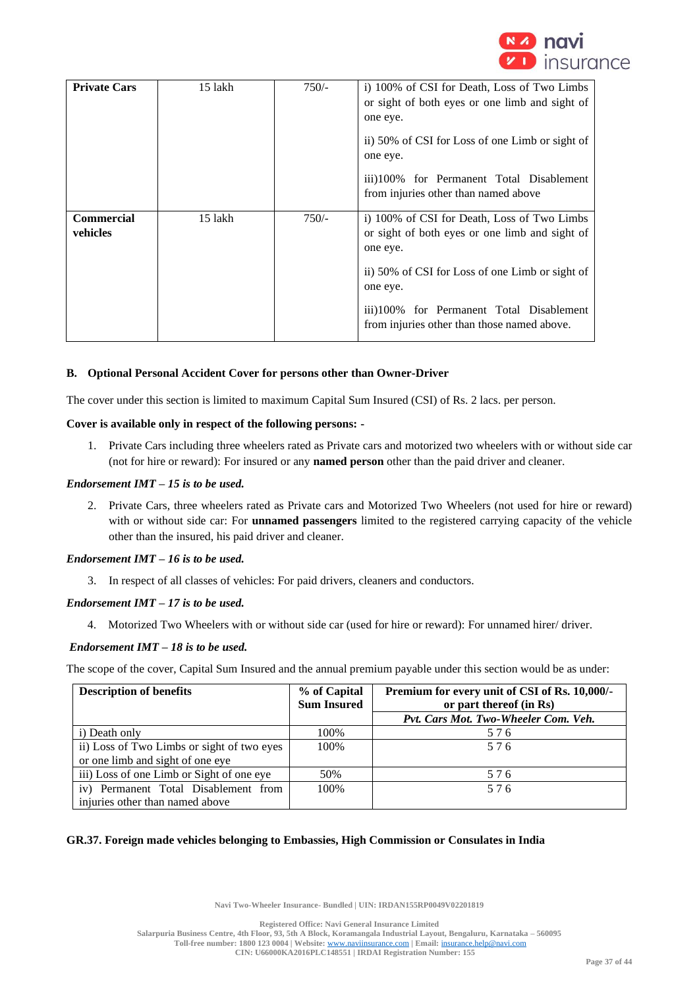

| <b>Private Cars</b>           | 15 lakh | $750/-$ | i) 100% of CSI for Death, Loss of Two Limbs<br>or sight of both eyes or one limb and sight of<br>one eye.<br>ii) 50% of CSI for Loss of one Limb or sight of<br>one eye.<br>iii)100% for Permanent Total Disablement<br>from injuries other than named above        |
|-------------------------------|---------|---------|---------------------------------------------------------------------------------------------------------------------------------------------------------------------------------------------------------------------------------------------------------------------|
| <b>Commercial</b><br>vehicles | 15 lakh | $750/-$ | i) 100% of CSI for Death, Loss of Two Limbs<br>or sight of both eyes or one limb and sight of<br>one eye.<br>ii) 50% of CSI for Loss of one Limb or sight of<br>one eye.<br>iii)100% for Permanent Total Disablement<br>from injuries other than those named above. |

## **B. Optional Personal Accident Cover for persons other than Owner-Driver**

The cover under this section is limited to maximum Capital Sum Insured (CSI) of Rs. 2 lacs. per person.

### **Cover is available only in respect of the following persons: -**

1. Private Cars including three wheelers rated as Private cars and motorized two wheelers with or without side car (not for hire or reward): For insured or any **named person** other than the paid driver and cleaner.

### *Endorsement IMT – 15 is to be used.*

2. Private Cars, three wheelers rated as Private cars and Motorized Two Wheelers (not used for hire or reward) with or without side car: For **unnamed passengers** limited to the registered carrying capacity of the vehicle other than the insured, his paid driver and cleaner.

## *Endorsement IMT – 16 is to be used.*

3. In respect of all classes of vehicles: For paid drivers, cleaners and conductors.

### *Endorsement IMT – 17 is to be used.*

4. Motorized Two Wheelers with or without side car (used for hire or reward): For unnamed hirer/ driver.

### *Endorsement IMT – 18 is to be used.*

The scope of the cover, Capital Sum Insured and the annual premium payable under this section would be as under:

| <b>Description of benefits</b>             | % of Capital<br><b>Sum Insured</b> | Premium for every unit of CSI of Rs. 10,000/-<br>or part thereof (in Rs) |
|--------------------------------------------|------------------------------------|--------------------------------------------------------------------------|
|                                            |                                    | Pvt. Cars Mot. Two-Wheeler Com. Veh.                                     |
| i) Death only                              | 100%                               | 576                                                                      |
| ii) Loss of Two Limbs or sight of two eyes | 100%                               | 576                                                                      |
| or one limb and sight of one eye           |                                    |                                                                          |
| iii) Loss of one Limb or Sight of one eye  | 50%                                | 576                                                                      |
| iv) Permanent Total Disablement from       | 100\%                              | 576                                                                      |
| injuries other than named above            |                                    |                                                                          |

## **GR.37. Foreign made vehicles belonging to Embassies, High Commission or Consulates in India**

**Navi Two-Wheeler Insurance- Bundled | UIN: IRDAN155RP0049V02201819**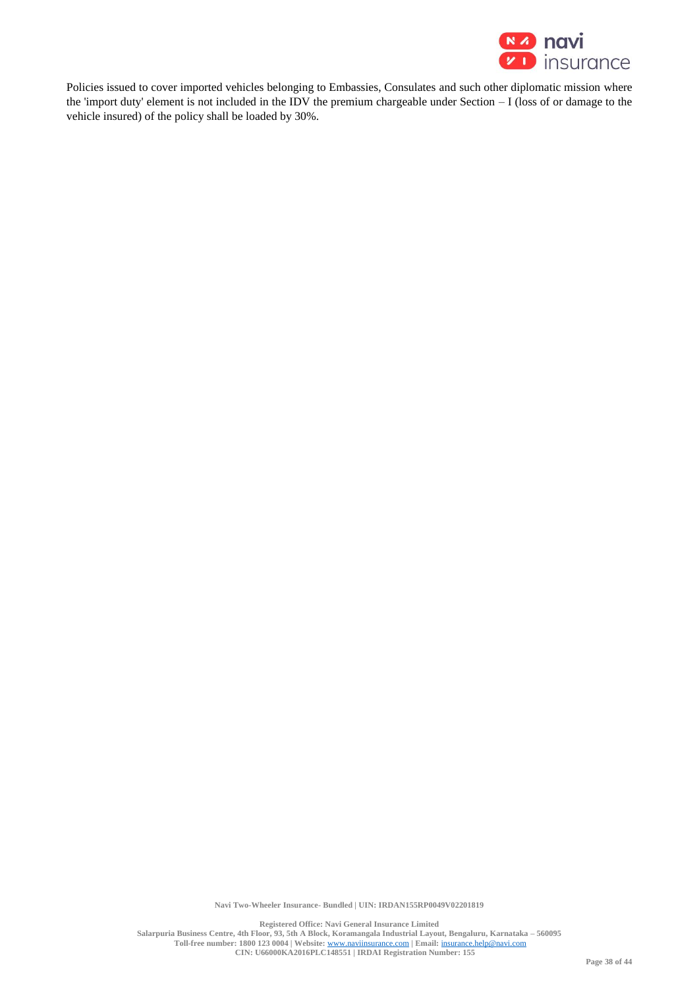

Policies issued to cover imported vehicles belonging to Embassies, Consulates and such other diplomatic mission where the 'import duty' element is not included in the IDV the premium chargeable under Section – I (loss of or damage to the vehicle insured) of the policy shall be loaded by 30%.

**Navi Two-Wheeler Insurance- Bundled | UIN: IRDAN155RP0049V02201819**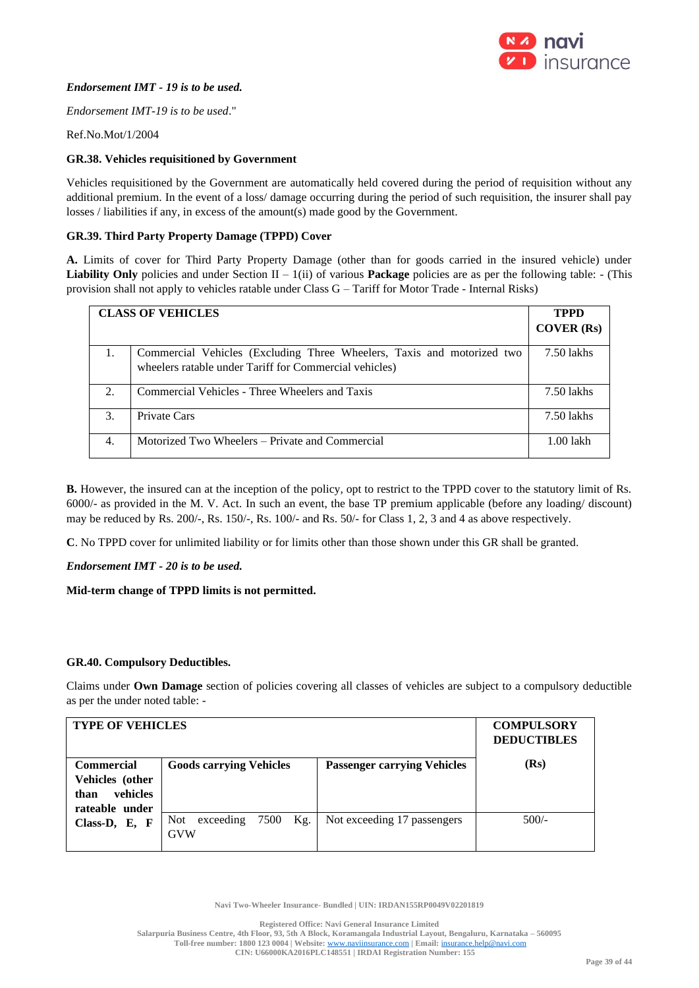

## *Endorsement IMT - 19 is to be used.*

*Endorsement IMT-19 is to be used*."

Ref.No.Mot/1/2004

## **GR.38. Vehicles requisitioned by Government**

Vehicles requisitioned by the Government are automatically held covered during the period of requisition without any additional premium. In the event of a loss/ damage occurring during the period of such requisition, the insurer shall pay losses / liabilities if any, in excess of the amount(s) made good by the Government.

## **GR.39. Third Party Property Damage (TPPD) Cover**

**A.** Limits of cover for Third Party Property Damage (other than for goods carried in the insured vehicle) under **Liability Only** policies and under Section II – 1(ii) of various **Package** policies are as per the following table: - (This provision shall not apply to vehicles ratable under Class G – Tariff for Motor Trade - Internal Risks)

| <b>CLASS OF VEHICLES</b> |                                                                                                                                  | <b>TPPD</b> |
|--------------------------|----------------------------------------------------------------------------------------------------------------------------------|-------------|
|                          |                                                                                                                                  | COVER(Rs)   |
| 1.                       | Commercial Vehicles (Excluding Three Wheelers, Taxis and motorized two<br>wheelers ratable under Tariff for Commercial vehicles) | 7.50 lakhs  |
| 2.                       | Commercial Vehicles - Three Wheelers and Taxis                                                                                   | 7.50 lakhs  |
| 3.                       | Private Cars                                                                                                                     | 7.50 lakhs  |
| 4.                       | Motorized Two Wheelers – Private and Commercial                                                                                  | 1.00 lakh   |

**B.** However, the insured can at the inception of the policy, opt to restrict to the TPPD cover to the statutory limit of Rs. 6000/- as provided in the M. V. Act. In such an event, the base TP premium applicable (before any loading/ discount) may be reduced by Rs. 200/-, Rs. 150/-, Rs. 100/- and Rs. 50/- for Class 1, 2, 3 and 4 as above respectively.

**C**. No TPPD cover for unlimited liability or for limits other than those shown under this GR shall be granted.

## *Endorsement IMT - 20 is to be used.*

## **Mid-term change of TPPD limits is not permitted.**

## **GR.40. Compulsory Deductibles.**

Claims under **Own Damage** section of policies covering all classes of vehicles are subject to a compulsory deductible as per the under noted table: -

| <b>TYPE OF VEHICLES</b>                                  |                                                 |                                    | <b>COMPULSORY</b><br><b>DEDUCTIBLES</b> |
|----------------------------------------------------------|-------------------------------------------------|------------------------------------|-----------------------------------------|
| <b>Commercial</b><br>Vehicles (other<br>vehicles<br>than | <b>Goods carrying Vehicles</b>                  | <b>Passenger carrying Vehicles</b> | (Rs)                                    |
| rateable under<br>Class-D, E, F                          | exceeding<br>7500<br>Kg.<br>Not  <br><b>GVW</b> | Not exceeding 17 passengers        | $500/-$                                 |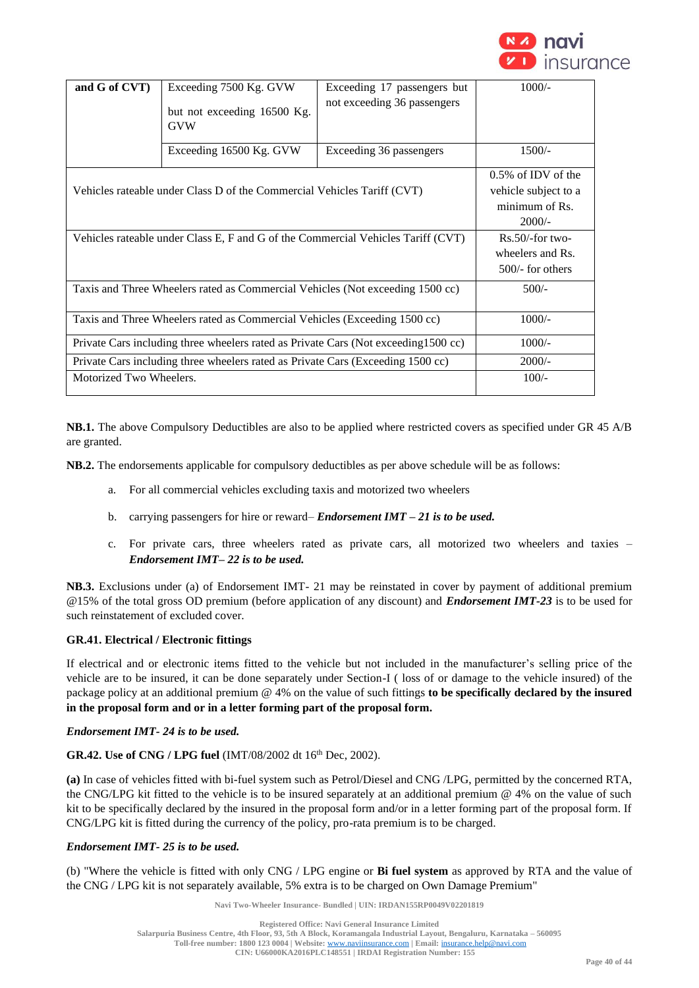

| and G of CVT)                                                                       | Exceeding 7500 Kg. GVW<br>but not exceeding 16500 Kg.<br><b>GVW</b> | Exceeding 17 passengers but<br>not exceeding 36 passengers | $1000/-$                                                                 |
|-------------------------------------------------------------------------------------|---------------------------------------------------------------------|------------------------------------------------------------|--------------------------------------------------------------------------|
|                                                                                     | Exceeding 16500 Kg. GVW                                             | Exceeding 36 passengers                                    | $1500/-$                                                                 |
| Vehicles rateable under Class D of the Commercial Vehicles Tariff (CVT)             |                                                                     |                                                            | 0.5% of IDV of the<br>vehicle subject to a<br>minimum of Rs.<br>$2000/-$ |
| Vehicles rateable under Class E, F and G of the Commercial Vehicles Tariff (CVT)    |                                                                     |                                                            | $Rs.50$ /-for two-<br>wheelers and Rs.<br>$500/-$ for others             |
| Taxis and Three Wheelers rated as Commercial Vehicles (Not exceeding 1500 cc)       |                                                                     |                                                            | $500/-$                                                                  |
| Taxis and Three Wheelers rated as Commercial Vehicles (Exceeding 1500 cc)           |                                                                     |                                                            | $1000/-$                                                                 |
| Private Cars including three wheelers rated as Private Cars (Not exceeding 1500 cc) |                                                                     |                                                            | $1000/-$                                                                 |
| Private Cars including three wheelers rated as Private Cars (Exceeding 1500 cc)     |                                                                     |                                                            | $2000/-$                                                                 |
| Motorized Two Wheelers.                                                             |                                                                     |                                                            | $100/-$                                                                  |

**NB.1.** The above Compulsory Deductibles are also to be applied where restricted covers as specified under GR 45 A/B are granted.

**NB.2.** The endorsements applicable for compulsory deductibles as per above schedule will be as follows:

- a. For all commercial vehicles excluding taxis and motorized two wheelers
- b. carrying passengers for hire or reward– *Endorsement IMT – 21 is to be used.*
- c. For private cars, three wheelers rated as private cars, all motorized two wheelers and taxies *Endorsement IMT– 22 is to be used.*

**NB.3.** Exclusions under (a) of Endorsement IMT- 21 may be reinstated in cover by payment of additional premium @15% of the total gross OD premium (before application of any discount) and *Endorsement IMT-23* is to be used for such reinstatement of excluded cover.

## **GR.41. Electrical / Electronic fittings**

If electrical and or electronic items fitted to the vehicle but not included in the manufacturer's selling price of the vehicle are to be insured, it can be done separately under Section-I ( loss of or damage to the vehicle insured) of the package policy at an additional premium @ 4% on the value of such fittings **to be specifically declared by the insured in the proposal form and or in a letter forming part of the proposal form.**

#### *Endorsement IMT- 24 is to be used.*

## **GR.42. Use of CNG / LPG fuel** (IMT/08/2002 dt 16th Dec, 2002).

**(a)** In case of vehicles fitted with bi-fuel system such as Petrol/Diesel and CNG /LPG, permitted by the concerned RTA, the CNG/LPG kit fitted to the vehicle is to be insured separately at an additional premium @ 4% on the value of such kit to be specifically declared by the insured in the proposal form and/or in a letter forming part of the proposal form. If CNG/LPG kit is fitted during the currency of the policy, pro-rata premium is to be charged.

### *Endorsement IMT- 25 is to be used.*

(b) "Where the vehicle is fitted with only CNG / LPG engine or **Bi fuel system** as approved by RTA and the value of the CNG / LPG kit is not separately available, 5% extra is to be charged on Own Damage Premium"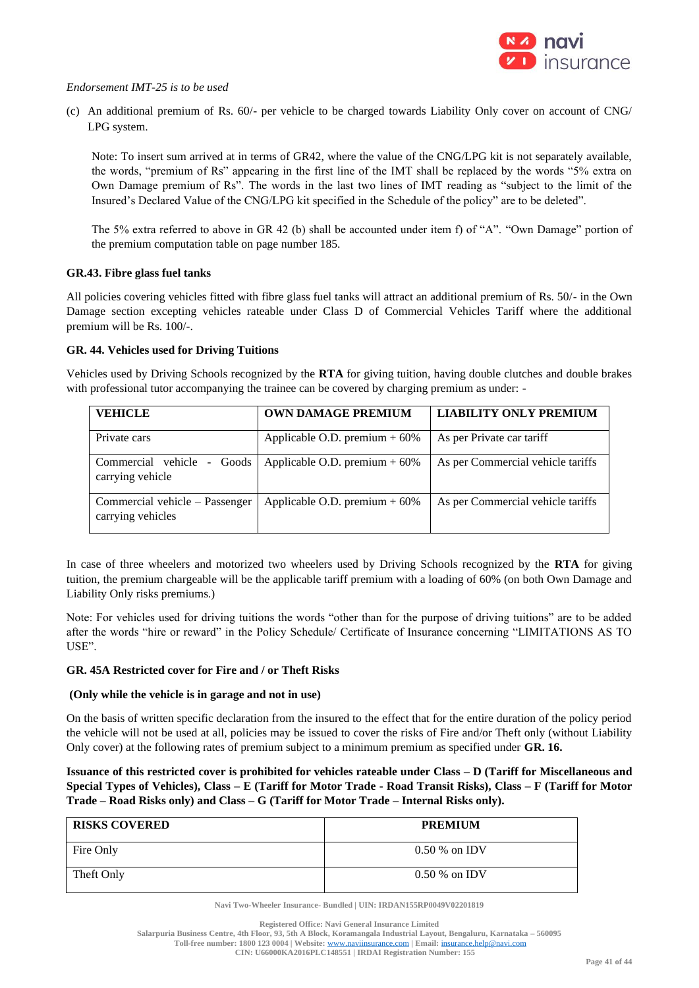

## *Endorsement IMT-25 is to be used*

(c) An additional premium of Rs. 60/- per vehicle to be charged towards Liability Only cover on account of CNG/ LPG system.

Note: To insert sum arrived at in terms of GR42, where the value of the CNG/LPG kit is not separately available, the words, "premium of Rs" appearing in the first line of the IMT shall be replaced by the words "5% extra on Own Damage premium of Rs". The words in the last two lines of IMT reading as "subject to the limit of the Insured's Declared Value of the CNG/LPG kit specified in the Schedule of the policy" are to be deleted".

The 5% extra referred to above in GR 42 (b) shall be accounted under item f) of "A". "Own Damage" portion of the premium computation table on page number 185.

## **GR.43. Fibre glass fuel tanks**

All policies covering vehicles fitted with fibre glass fuel tanks will attract an additional premium of Rs. 50/- in the Own Damage section excepting vehicles rateable under Class D of Commercial Vehicles Tariff where the additional premium will be Rs. 100/-.

## **GR. 44. Vehicles used for Driving Tuitions**

Vehicles used by Driving Schools recognized by the **RTA** for giving tuition, having double clutches and double brakes with professional tutor accompanying the trainee can be covered by charging premium as under: -

| <b>VEHICLE</b>                                      | <b>OWN DAMAGE PREMIUM</b>       | <b>LIABILITY ONLY PREMIUM</b>     |
|-----------------------------------------------------|---------------------------------|-----------------------------------|
| Private cars                                        | Applicable O.D. premium $+60\%$ | As per Private car tariff         |
| Commercial vehicle<br>- Goods<br>carrying vehicle   | Applicable O.D. premium $+60\%$ | As per Commercial vehicle tariffs |
| Commercial vehicle – Passenger<br>carrying vehicles | Applicable O.D. premium $+60\%$ | As per Commercial vehicle tariffs |

In case of three wheelers and motorized two wheelers used by Driving Schools recognized by the **RTA** for giving tuition, the premium chargeable will be the applicable tariff premium with a loading of 60% (on both Own Damage and Liability Only risks premiums.)

Note: For vehicles used for driving tuitions the words "other than for the purpose of driving tuitions" are to be added after the words "hire or reward" in the Policy Schedule/ Certificate of Insurance concerning "LIMITATIONS AS TO USE".

## **GR. 45A Restricted cover for Fire and / or Theft Risks**

## **(Only while the vehicle is in garage and not in use)**

On the basis of written specific declaration from the insured to the effect that for the entire duration of the policy period the vehicle will not be used at all, policies may be issued to cover the risks of Fire and/or Theft only (without Liability Only cover) at the following rates of premium subject to a minimum premium as specified under **GR. 16.**

**Issuance of this restricted cover is prohibited for vehicles rateable under Class – D (Tariff for Miscellaneous and Special Types of Vehicles), Class – E (Tariff for Motor Trade - Road Transit Risks), Class – F (Tariff for Motor Trade – Road Risks only) and Class – G (Tariff for Motor Trade – Internal Risks only).**

| <b>RISKS COVERED</b> | <b>PREMIUM</b>  |
|----------------------|-----------------|
| Fire Only            | $0.50\%$ on IDV |
| Theft Only           | $0.50\%$ on IDV |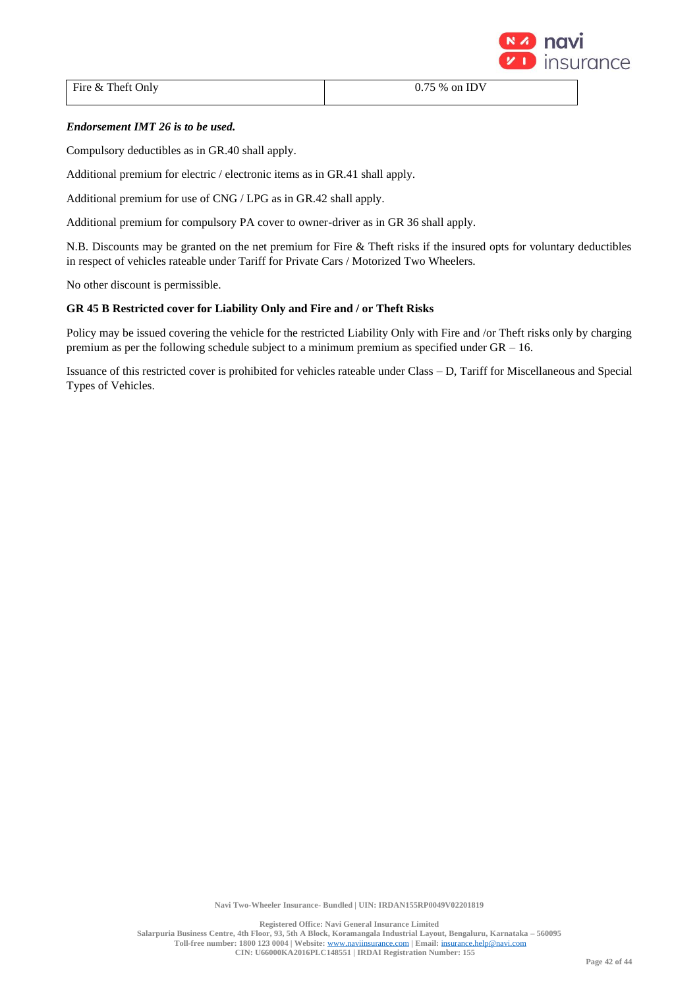

Fire & Theft Only 0.75 % on IDV

# *Endorsement IMT 26 is to be used.*

Compulsory deductibles as in GR.40 shall apply.

Additional premium for electric / electronic items as in GR.41 shall apply.

Additional premium for use of CNG / LPG as in GR.42 shall apply.

Additional premium for compulsory PA cover to owner-driver as in GR 36 shall apply.

N.B. Discounts may be granted on the net premium for Fire & Theft risks if the insured opts for voluntary deductibles in respect of vehicles rateable under Tariff for Private Cars / Motorized Two Wheelers.

No other discount is permissible.

# **GR 45 B Restricted cover for Liability Only and Fire and / or Theft Risks**

Policy may be issued covering the vehicle for the restricted Liability Only with Fire and /or Theft risks only by charging premium as per the following schedule subject to a minimum premium as specified under  $GR - 16$ .

Issuance of this restricted cover is prohibited for vehicles rateable under Class – D, Tariff for Miscellaneous and Special Types of Vehicles.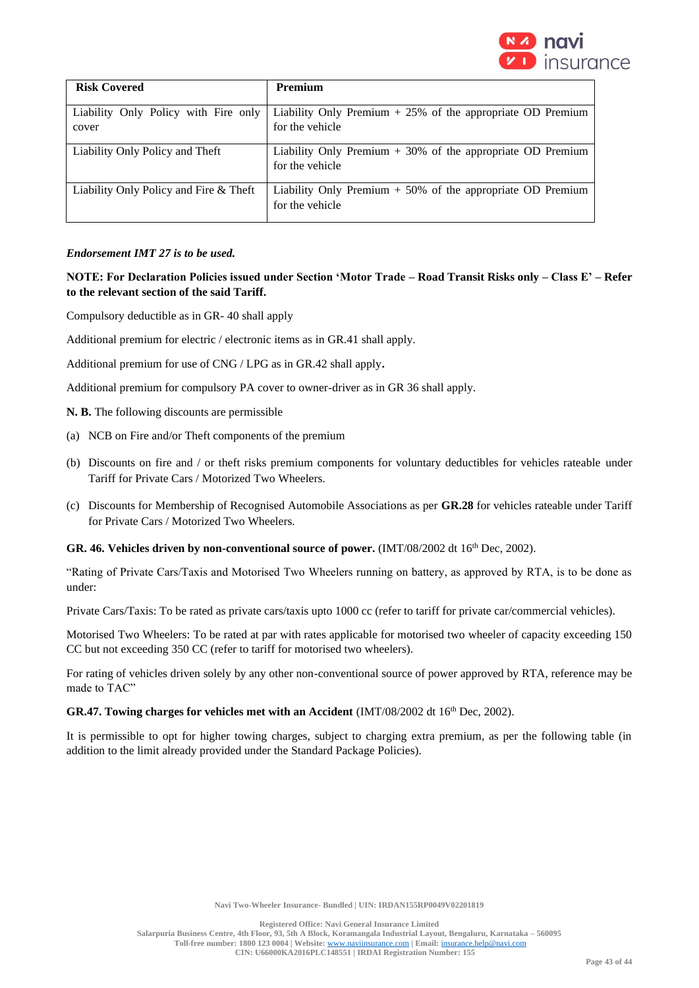

| <b>Risk Covered</b>                           | <b>Premium</b>                                                                  |
|-----------------------------------------------|---------------------------------------------------------------------------------|
| Liability Only Policy with Fire only<br>cover | Liability Only Premium $+25\%$ of the appropriate OD Premium<br>for the vehicle |
| Liability Only Policy and Theft               | Liability Only Premium $+30\%$ of the appropriate OD Premium<br>for the vehicle |
| Liability Only Policy and Fire & Theft        | Liability Only Premium $+50\%$ of the appropriate OD Premium<br>for the vehicle |

## *Endorsement IMT 27 is to be used.*

## **NOTE: For Declaration Policies issued under Section 'Motor Trade – Road Transit Risks only – Class E' – Refer to the relevant section of the said Tariff.**

Compulsory deductible as in GR- 40 shall apply

Additional premium for electric / electronic items as in GR.41 shall apply.

Additional premium for use of CNG / LPG as in GR.42 shall apply**.**

Additional premium for compulsory PA cover to owner-driver as in GR 36 shall apply.

**N. B.** The following discounts are permissible

- (a) NCB on Fire and/or Theft components of the premium
- (b) Discounts on fire and / or theft risks premium components for voluntary deductibles for vehicles rateable under Tariff for Private Cars / Motorized Two Wheelers.
- (c) Discounts for Membership of Recognised Automobile Associations as per **GR.28** for vehicles rateable under Tariff for Private Cars / Motorized Two Wheelers.

### GR. 46. Vehicles driven by non-conventional source of power.  $(MT/08/2002 dt 16<sup>th</sup> Dec, 2002)$ .

"Rating of Private Cars/Taxis and Motorised Two Wheelers running on battery, as approved by RTA, is to be done as under:

Private Cars/Taxis: To be rated as private cars/taxis upto 1000 cc (refer to tariff for private car/commercial vehicles).

Motorised Two Wheelers: To be rated at par with rates applicable for motorised two wheeler of capacity exceeding 150 CC but not exceeding 350 CC (refer to tariff for motorised two wheelers).

For rating of vehicles driven solely by any other non-conventional source of power approved by RTA, reference may be made to TAC"

## GR.47. Towing charges for vehicles met with an Accident (IMT/08/2002 dt 16<sup>th</sup> Dec, 2002).

It is permissible to opt for higher towing charges, subject to charging extra premium, as per the following table (in addition to the limit already provided under the Standard Package Policies).